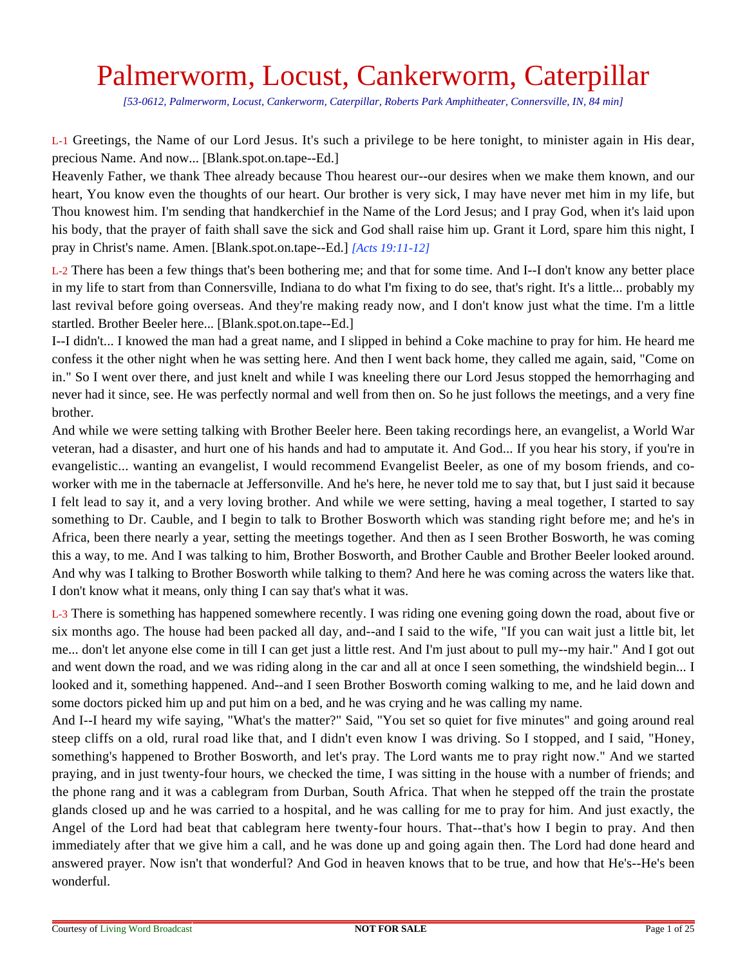## Palmerworm, Locust, Cankerworm, Caterpillar

*[53-0612, Palmerworm, Locust, Cankerworm, Caterpillar, Roberts Park Amphitheater, Connersville, IN, 84 min]*

L-1 Greetings, the Name of our Lord Jesus. It's such a privilege to be here tonight, to minister again in His dear, precious Name. And now... [Blank.spot.on.tape--Ed.]

Heavenly Father, we thank Thee already because Thou hearest our--our desires when we make them known, and our heart, You know even the thoughts of our heart. Our brother is very sick, I may have never met him in my life, but Thou knowest him. I'm sending that handkerchief in the Name of the Lord Jesus; and I pray God, when it's laid upon his body, that the prayer of faith shall save the sick and God shall raise him up. Grant it Lord, spare him this night, I pray in Christ's name. Amen. [Blank.spot.on.tape--Ed.] *[Acts 19:11-12]*

L-2 There has been a few things that's been bothering me; and that for some time. And I--I don't know any better place in my life to start from than Connersville, Indiana to do what I'm fixing to do see, that's right. It's a little... probably my last revival before going overseas. And they're making ready now, and I don't know just what the time. I'm a little startled. Brother Beeler here... [Blank.spot.on.tape--Ed.]

I--I didn't... I knowed the man had a great name, and I slipped in behind a Coke machine to pray for him. He heard me confess it the other night when he was setting here. And then I went back home, they called me again, said, "Come on in." So I went over there, and just knelt and while I was kneeling there our Lord Jesus stopped the hemorrhaging and never had it since, see. He was perfectly normal and well from then on. So he just follows the meetings, and a very fine brother.

And while we were setting talking with Brother Beeler here. Been taking recordings here, an evangelist, a World War veteran, had a disaster, and hurt one of his hands and had to amputate it. And God... If you hear his story, if you're in evangelistic... wanting an evangelist, I would recommend Evangelist Beeler, as one of my bosom friends, and coworker with me in the tabernacle at Jeffersonville. And he's here, he never told me to say that, but I just said it because I felt lead to say it, and a very loving brother. And while we were setting, having a meal together, I started to say something to Dr. Cauble, and I begin to talk to Brother Bosworth which was standing right before me; and he's in Africa, been there nearly a year, setting the meetings together. And then as I seen Brother Bosworth, he was coming this a way, to me. And I was talking to him, Brother Bosworth, and Brother Cauble and Brother Beeler looked around. And why was I talking to Brother Bosworth while talking to them? And here he was coming across the waters like that. I don't know what it means, only thing I can say that's what it was.

L-3 There is something has happened somewhere recently. I was riding one evening going down the road, about five or six months ago. The house had been packed all day, and--and I said to the wife, "If you can wait just a little bit, let me... don't let anyone else come in till I can get just a little rest. And I'm just about to pull my--my hair." And I got out and went down the road, and we was riding along in the car and all at once I seen something, the windshield begin... I looked and it, something happened. And--and I seen Brother Bosworth coming walking to me, and he laid down and some doctors picked him up and put him on a bed, and he was crying and he was calling my name.

And I--I heard my wife saying, "What's the matter?" Said, "You set so quiet for five minutes" and going around real steep cliffs on a old, rural road like that, and I didn't even know I was driving. So I stopped, and I said, "Honey, something's happened to Brother Bosworth, and let's pray. The Lord wants me to pray right now." And we started praying, and in just twenty-four hours, we checked the time, I was sitting in the house with a number of friends; and the phone rang and it was a cablegram from Durban, South Africa. That when he stepped off the train the prostate glands closed up and he was carried to a hospital, and he was calling for me to pray for him. And just exactly, the Angel of the Lord had beat that cablegram here twenty-four hours. That--that's how I begin to pray. And then immediately after that we give him a call, and he was done up and going again then. The Lord had done heard and answered prayer. Now isn't that wonderful? And God in heaven knows that to be true, and how that He's--He's been wonderful.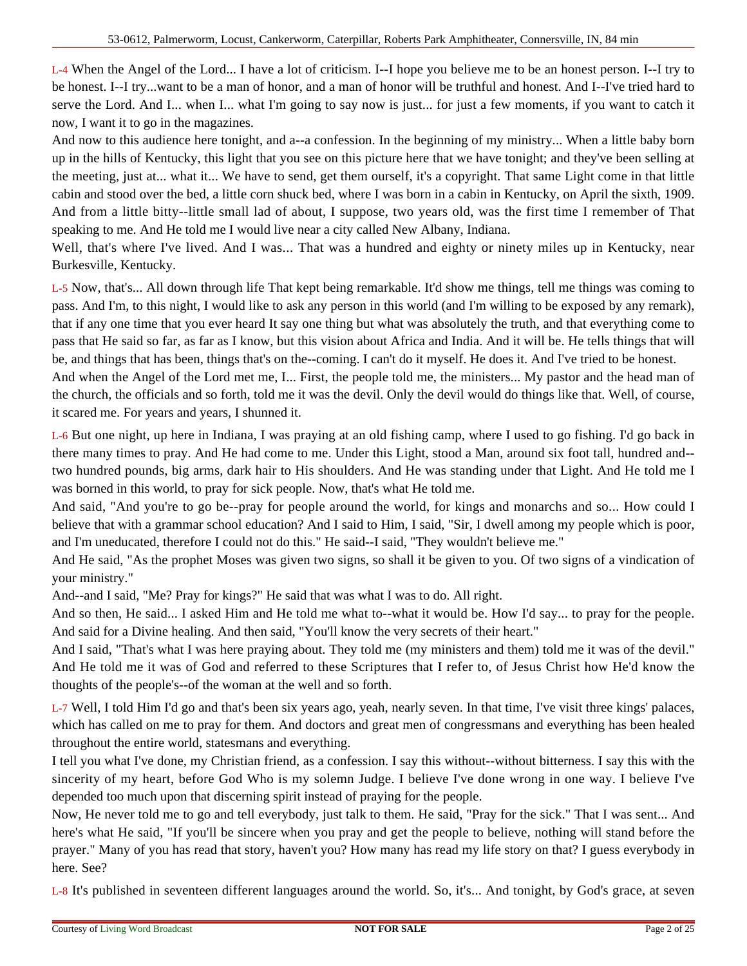L-4 When the Angel of the Lord... I have a lot of criticism. I--I hope you believe me to be an honest person. I--I try to be honest. I--I try...want to be a man of honor, and a man of honor will be truthful and honest. And I--I've tried hard to serve the Lord. And I... when I... what I'm going to say now is just... for just a few moments, if you want to catch it now, I want it to go in the magazines.

And now to this audience here tonight, and a--a confession. In the beginning of my ministry... When a little baby born up in the hills of Kentucky, this light that you see on this picture here that we have tonight; and they've been selling at the meeting, just at... what it... We have to send, get them ourself, it's a copyright. That same Light come in that little cabin and stood over the bed, a little corn shuck bed, where I was born in a cabin in Kentucky, on April the sixth, 1909. And from a little bitty--little small lad of about, I suppose, two years old, was the first time I remember of That speaking to me. And He told me I would live near a city called New Albany, Indiana.

Well, that's where I've lived. And I was... That was a hundred and eighty or ninety miles up in Kentucky, near Burkesville, Kentucky.

L-5 Now, that's... All down through life That kept being remarkable. It'd show me things, tell me things was coming to pass. And I'm, to this night, I would like to ask any person in this world (and I'm willing to be exposed by any remark), that if any one time that you ever heard It say one thing but what was absolutely the truth, and that everything come to pass that He said so far, as far as I know, but this vision about Africa and India. And it will be. He tells things that will be, and things that has been, things that's on the--coming. I can't do it myself. He does it. And I've tried to be honest.

And when the Angel of the Lord met me, I... First, the people told me, the ministers... My pastor and the head man of the church, the officials and so forth, told me it was the devil. Only the devil would do things like that. Well, of course, it scared me. For years and years, I shunned it.

L-6 But one night, up here in Indiana, I was praying at an old fishing camp, where I used to go fishing. I'd go back in there many times to pray. And He had come to me. Under this Light, stood a Man, around six foot tall, hundred and- two hundred pounds, big arms, dark hair to His shoulders. And He was standing under that Light. And He told me I was borned in this world, to pray for sick people. Now, that's what He told me.

And said, "And you're to go be--pray for people around the world, for kings and monarchs and so... How could I believe that with a grammar school education? And I said to Him, I said, "Sir, I dwell among my people which is poor, and I'm uneducated, therefore I could not do this." He said--I said, "They wouldn't believe me."

And He said, "As the prophet Moses was given two signs, so shall it be given to you. Of two signs of a vindication of your ministry."

And--and I said, "Me? Pray for kings?" He said that was what I was to do. All right.

And so then, He said... I asked Him and He told me what to--what it would be. How I'd say... to pray for the people. And said for a Divine healing. And then said, "You'll know the very secrets of their heart."

And I said, "That's what I was here praying about. They told me (my ministers and them) told me it was of the devil." And He told me it was of God and referred to these Scriptures that I refer to, of Jesus Christ how He'd know the thoughts of the people's--of the woman at the well and so forth.

L-7 Well, I told Him I'd go and that's been six years ago, yeah, nearly seven. In that time, I've visit three kings' palaces, which has called on me to pray for them. And doctors and great men of congressmans and everything has been healed throughout the entire world, statesmans and everything.

I tell you what I've done, my Christian friend, as a confession. I say this without--without bitterness. I say this with the sincerity of my heart, before God Who is my solemn Judge. I believe I've done wrong in one way. I believe I've depended too much upon that discerning spirit instead of praying for the people.

Now, He never told me to go and tell everybody, just talk to them. He said, "Pray for the sick." That I was sent... And here's what He said, "If you'll be sincere when you pray and get the people to believe, nothing will stand before the prayer." Many of you has read that story, haven't you? How many has read my life story on that? I guess everybody in here. See?

L-8 It's published in seventeen different languages around the world. So, it's... And tonight, by God's grace, at seven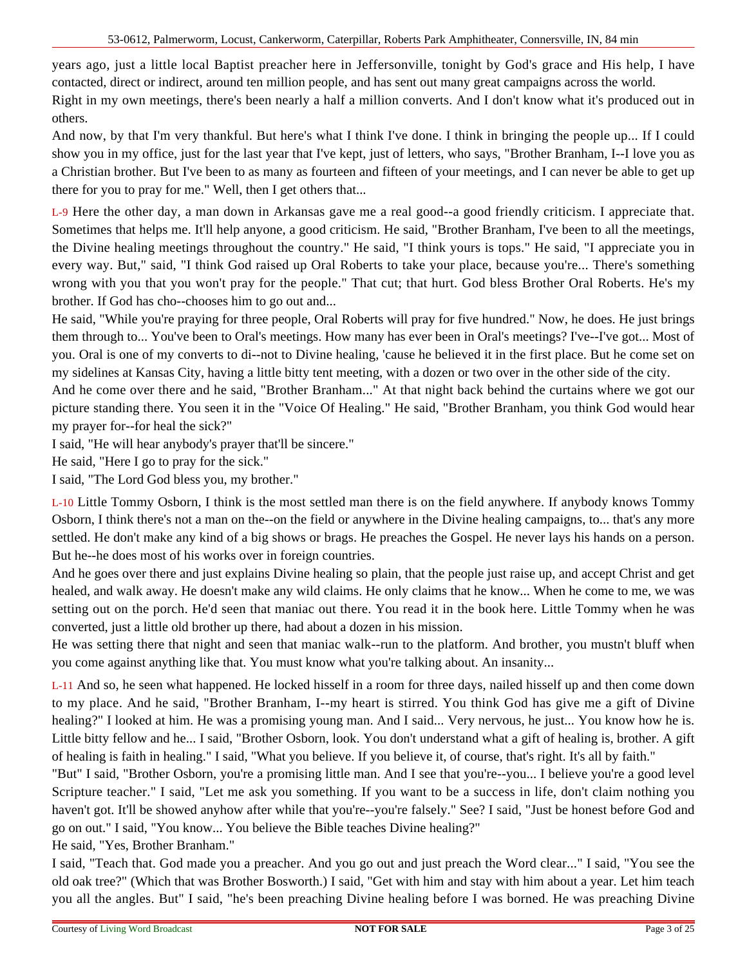years ago, just a little local Baptist preacher here in Jeffersonville, tonight by God's grace and His help, I have contacted, direct or indirect, around ten million people, and has sent out many great campaigns across the world. Right in my own meetings, there's been nearly a half a million converts. And I don't know what it's produced out in others.

And now, by that I'm very thankful. But here's what I think I've done. I think in bringing the people up... If I could show you in my office, just for the last year that I've kept, just of letters, who says, "Brother Branham, I--I love you as a Christian brother. But I've been to as many as fourteen and fifteen of your meetings, and I can never be able to get up there for you to pray for me." Well, then I get others that...

L-9 Here the other day, a man down in Arkansas gave me a real good--a good friendly criticism. I appreciate that. Sometimes that helps me. It'll help anyone, a good criticism. He said, "Brother Branham, I've been to all the meetings, the Divine healing meetings throughout the country." He said, "I think yours is tops." He said, "I appreciate you in every way. But," said, "I think God raised up Oral Roberts to take your place, because you're... There's something wrong with you that you won't pray for the people." That cut; that hurt. God bless Brother Oral Roberts. He's my brother. If God has cho--chooses him to go out and...

He said, "While you're praying for three people, Oral Roberts will pray for five hundred." Now, he does. He just brings them through to... You've been to Oral's meetings. How many has ever been in Oral's meetings? I've--I've got... Most of you. Oral is one of my converts to di--not to Divine healing, 'cause he believed it in the first place. But he come set on my sidelines at Kansas City, having a little bitty tent meeting, with a dozen or two over in the other side of the city.

And he come over there and he said, "Brother Branham..." At that night back behind the curtains where we got our picture standing there. You seen it in the "Voice Of Healing." He said, "Brother Branham, you think God would hear my prayer for--for heal the sick?"

I said, "He will hear anybody's prayer that'll be sincere."

He said, "Here I go to pray for the sick."

I said, "The Lord God bless you, my brother."

L-10 Little Tommy Osborn, I think is the most settled man there is on the field anywhere. If anybody knows Tommy Osborn, I think there's not a man on the--on the field or anywhere in the Divine healing campaigns, to... that's any more settled. He don't make any kind of a big shows or brags. He preaches the Gospel. He never lays his hands on a person. But he--he does most of his works over in foreign countries.

And he goes over there and just explains Divine healing so plain, that the people just raise up, and accept Christ and get healed, and walk away. He doesn't make any wild claims. He only claims that he know... When he come to me, we was setting out on the porch. He'd seen that maniac out there. You read it in the book here. Little Tommy when he was converted, just a little old brother up there, had about a dozen in his mission.

He was setting there that night and seen that maniac walk--run to the platform. And brother, you mustn't bluff when you come against anything like that. You must know what you're talking about. An insanity...

L-11 And so, he seen what happened. He locked hisself in a room for three days, nailed hisself up and then come down to my place. And he said, "Brother Branham, I--my heart is stirred. You think God has give me a gift of Divine healing?" I looked at him. He was a promising young man. And I said... Very nervous, he just... You know how he is. Little bitty fellow and he... I said, "Brother Osborn, look. You don't understand what a gift of healing is, brother. A gift of healing is faith in healing." I said, "What you believe. If you believe it, of course, that's right. It's all by faith."

"But" I said, "Brother Osborn, you're a promising little man. And I see that you're--you... I believe you're a good level Scripture teacher." I said, "Let me ask you something. If you want to be a success in life, don't claim nothing you haven't got. It'll be showed anyhow after while that you're--you're falsely." See? I said, "Just be honest before God and go on out." I said, "You know... You believe the Bible teaches Divine healing?"

He said, "Yes, Brother Branham."

I said, "Teach that. God made you a preacher. And you go out and just preach the Word clear..." I said, "You see the old oak tree?" (Which that was Brother Bosworth.) I said, "Get with him and stay with him about a year. Let him teach you all the angles. But" I said, "he's been preaching Divine healing before I was borned. He was preaching Divine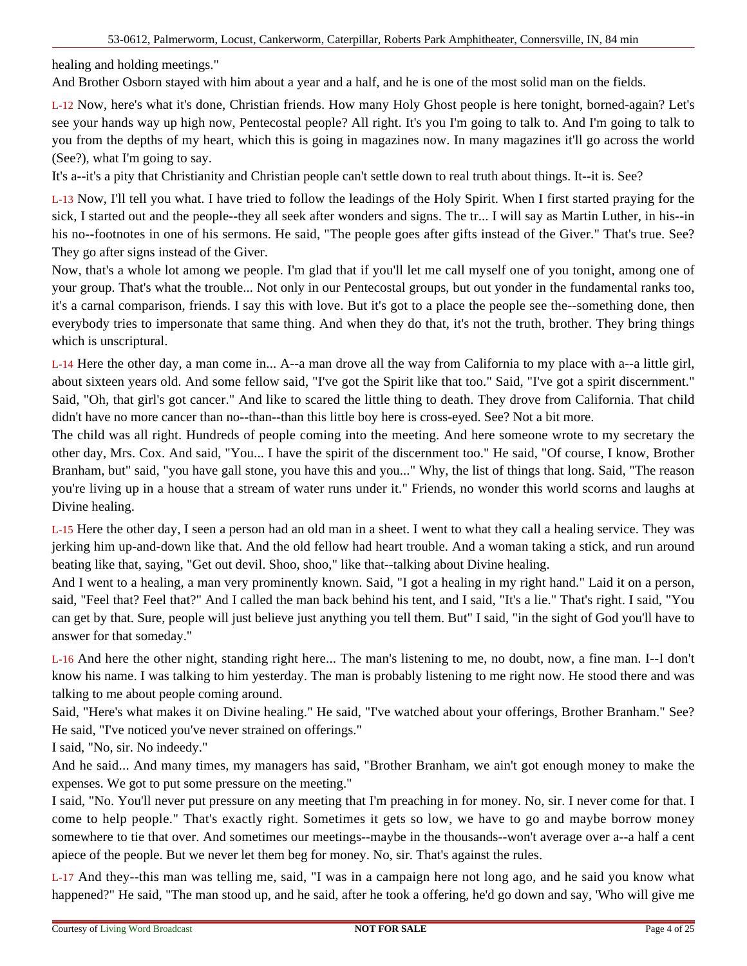healing and holding meetings."

And Brother Osborn stayed with him about a year and a half, and he is one of the most solid man on the fields.

L-12 Now, here's what it's done, Christian friends. How many Holy Ghost people is here tonight, borned-again? Let's see your hands way up high now, Pentecostal people? All right. It's you I'm going to talk to. And I'm going to talk to you from the depths of my heart, which this is going in magazines now. In many magazines it'll go across the world (See?), what I'm going to say.

It's a--it's a pity that Christianity and Christian people can't settle down to real truth about things. It--it is. See?

L-13 Now, I'll tell you what. I have tried to follow the leadings of the Holy Spirit. When I first started praying for the sick, I started out and the people--they all seek after wonders and signs. The tr... I will say as Martin Luther, in his--in his no--footnotes in one of his sermons. He said, "The people goes after gifts instead of the Giver." That's true. See? They go after signs instead of the Giver.

Now, that's a whole lot among we people. I'm glad that if you'll let me call myself one of you tonight, among one of your group. That's what the trouble... Not only in our Pentecostal groups, but out yonder in the fundamental ranks too, it's a carnal comparison, friends. I say this with love. But it's got to a place the people see the--something done, then everybody tries to impersonate that same thing. And when they do that, it's not the truth, brother. They bring things which is unscriptural.

L-14 Here the other day, a man come in... A--a man drove all the way from California to my place with a--a little girl, about sixteen years old. And some fellow said, "I've got the Spirit like that too." Said, "I've got a spirit discernment." Said, "Oh, that girl's got cancer." And like to scared the little thing to death. They drove from California. That child didn't have no more cancer than no--than--than this little boy here is cross-eyed. See? Not a bit more.

The child was all right. Hundreds of people coming into the meeting. And here someone wrote to my secretary the other day, Mrs. Cox. And said, "You... I have the spirit of the discernment too." He said, "Of course, I know, Brother Branham, but" said, "you have gall stone, you have this and you..." Why, the list of things that long. Said, "The reason you're living up in a house that a stream of water runs under it." Friends, no wonder this world scorns and laughs at Divine healing.

L-15 Here the other day, I seen a person had an old man in a sheet. I went to what they call a healing service. They was jerking him up-and-down like that. And the old fellow had heart trouble. And a woman taking a stick, and run around beating like that, saying, "Get out devil. Shoo, shoo," like that--talking about Divine healing.

And I went to a healing, a man very prominently known. Said, "I got a healing in my right hand." Laid it on a person, said, "Feel that? Feel that?" And I called the man back behind his tent, and I said, "It's a lie." That's right. I said, "You can get by that. Sure, people will just believe just anything you tell them. But" I said, "in the sight of God you'll have to answer for that someday."

L-16 And here the other night, standing right here... The man's listening to me, no doubt, now, a fine man. I--I don't know his name. I was talking to him yesterday. The man is probably listening to me right now. He stood there and was talking to me about people coming around.

Said, "Here's what makes it on Divine healing." He said, "I've watched about your offerings, Brother Branham." See? He said, "I've noticed you've never strained on offerings."

I said, "No, sir. No indeedy."

And he said... And many times, my managers has said, "Brother Branham, we ain't got enough money to make the expenses. We got to put some pressure on the meeting."

I said, "No. You'll never put pressure on any meeting that I'm preaching in for money. No, sir. I never come for that. I come to help people." That's exactly right. Sometimes it gets so low, we have to go and maybe borrow money somewhere to tie that over. And sometimes our meetings--maybe in the thousands--won't average over a--a half a cent apiece of the people. But we never let them beg for money. No, sir. That's against the rules.

L-17 And they--this man was telling me, said, "I was in a campaign here not long ago, and he said you know what happened?" He said, "The man stood up, and he said, after he took a offering, he'd go down and say, 'Who will give me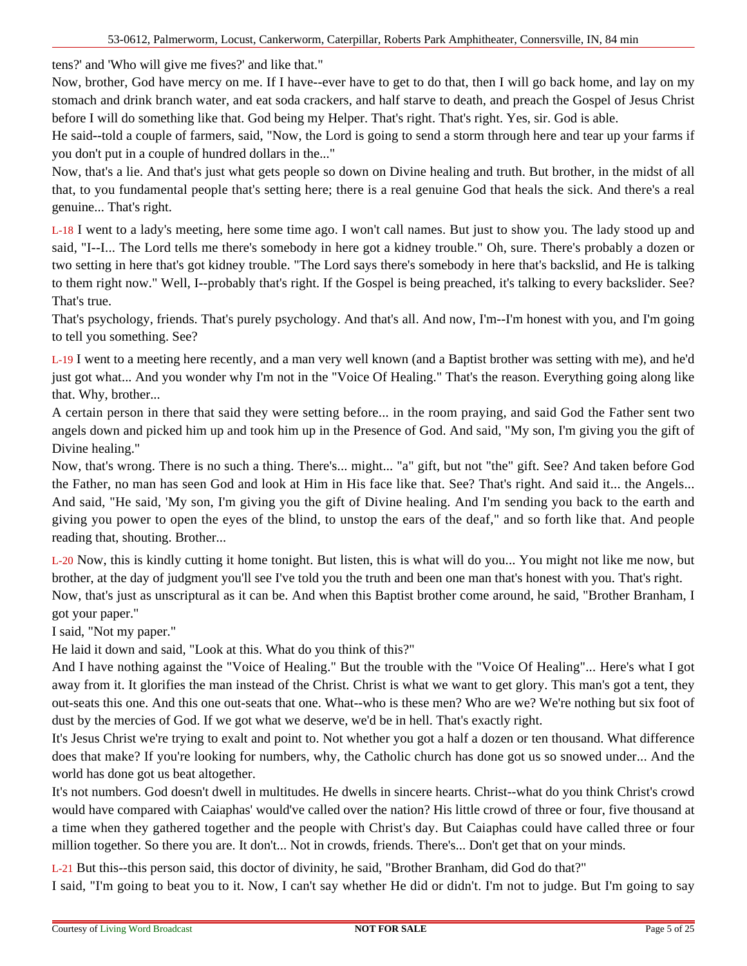tens?' and 'Who will give me fives?' and like that."

Now, brother, God have mercy on me. If I have--ever have to get to do that, then I will go back home, and lay on my stomach and drink branch water, and eat soda crackers, and half starve to death, and preach the Gospel of Jesus Christ before I will do something like that. God being my Helper. That's right. That's right. Yes, sir. God is able.

He said--told a couple of farmers, said, "Now, the Lord is going to send a storm through here and tear up your farms if you don't put in a couple of hundred dollars in the..."

Now, that's a lie. And that's just what gets people so down on Divine healing and truth. But brother, in the midst of all that, to you fundamental people that's setting here; there is a real genuine God that heals the sick. And there's a real genuine... That's right.

L-18 I went to a lady's meeting, here some time ago. I won't call names. But just to show you. The lady stood up and said, "I--I... The Lord tells me there's somebody in here got a kidney trouble." Oh, sure. There's probably a dozen or two setting in here that's got kidney trouble. "The Lord says there's somebody in here that's backslid, and He is talking to them right now." Well, I--probably that's right. If the Gospel is being preached, it's talking to every backslider. See? That's true.

That's psychology, friends. That's purely psychology. And that's all. And now, I'm--I'm honest with you, and I'm going to tell you something. See?

L-19 I went to a meeting here recently, and a man very well known (and a Baptist brother was setting with me), and he'd just got what... And you wonder why I'm not in the "Voice Of Healing." That's the reason. Everything going along like that. Why, brother...

A certain person in there that said they were setting before... in the room praying, and said God the Father sent two angels down and picked him up and took him up in the Presence of God. And said, "My son, I'm giving you the gift of Divine healing."

Now, that's wrong. There is no such a thing. There's... might... "a" gift, but not "the" gift. See? And taken before God the Father, no man has seen God and look at Him in His face like that. See? That's right. And said it... the Angels... And said, "He said, 'My son, I'm giving you the gift of Divine healing. And I'm sending you back to the earth and giving you power to open the eyes of the blind, to unstop the ears of the deaf," and so forth like that. And people reading that, shouting. Brother...

L-20 Now, this is kindly cutting it home tonight. But listen, this is what will do you... You might not like me now, but brother, at the day of judgment you'll see I've told you the truth and been one man that's honest with you. That's right. Now, that's just as unscriptural as it can be. And when this Baptist brother come around, he said, "Brother Branham, I got your paper."

I said, "Not my paper."

He laid it down and said, "Look at this. What do you think of this?"

And I have nothing against the "Voice of Healing." But the trouble with the "Voice Of Healing"... Here's what I got away from it. It glorifies the man instead of the Christ. Christ is what we want to get glory. This man's got a tent, they out-seats this one. And this one out-seats that one. What--who is these men? Who are we? We're nothing but six foot of dust by the mercies of God. If we got what we deserve, we'd be in hell. That's exactly right.

It's Jesus Christ we're trying to exalt and point to. Not whether you got a half a dozen or ten thousand. What difference does that make? If you're looking for numbers, why, the Catholic church has done got us so snowed under... And the world has done got us beat altogether.

It's not numbers. God doesn't dwell in multitudes. He dwells in sincere hearts. Christ--what do you think Christ's crowd would have compared with Caiaphas' would've called over the nation? His little crowd of three or four, five thousand at a time when they gathered together and the people with Christ's day. But Caiaphas could have called three or four million together. So there you are. It don't... Not in crowds, friends. There's... Don't get that on your minds.

L-21 But this--this person said, this doctor of divinity, he said, "Brother Branham, did God do that?"

I said, "I'm going to beat you to it. Now, I can't say whether He did or didn't. I'm not to judge. But I'm going to say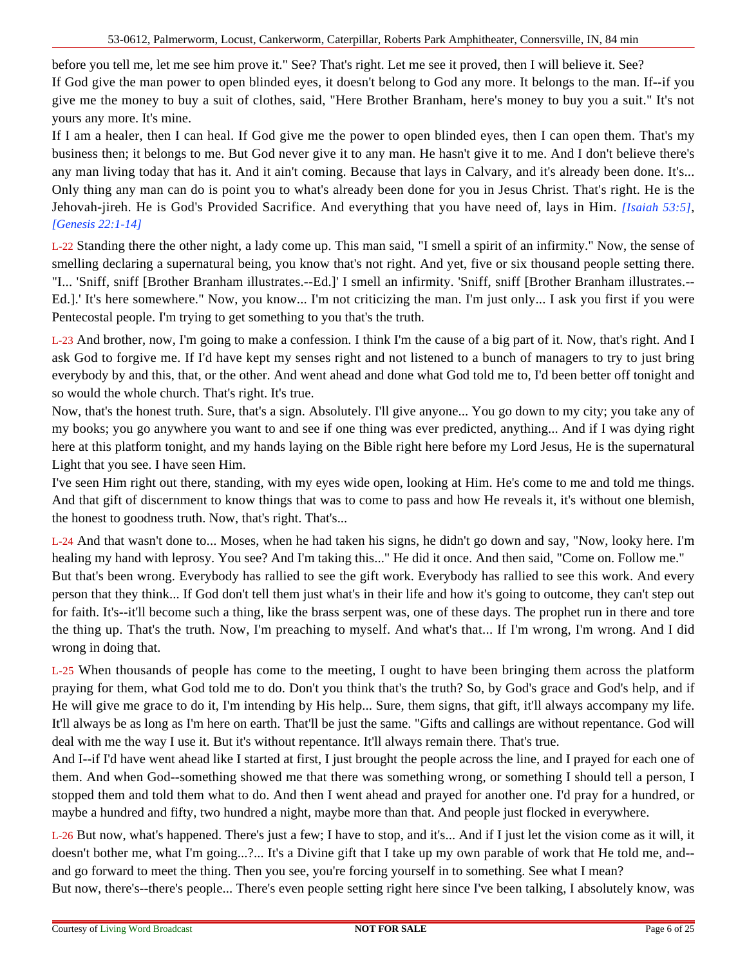before you tell me, let me see him prove it." See? That's right. Let me see it proved, then I will believe it. See? If God give the man power to open blinded eyes, it doesn't belong to God any more. It belongs to the man. If--if you give me the money to buy a suit of clothes, said, "Here Brother Branham, here's money to buy you a suit." It's not yours any more. It's mine.

If I am a healer, then I can heal. If God give me the power to open blinded eyes, then I can open them. That's my business then; it belongs to me. But God never give it to any man. He hasn't give it to me. And I don't believe there's any man living today that has it. And it ain't coming. Because that lays in Calvary, and it's already been done. It's... Only thing any man can do is point you to what's already been done for you in Jesus Christ. That's right. He is the Jehovah-jireh. He is God's Provided Sacrifice. And everything that you have need of, lays in Him. *[Isaiah 53:5]*, *[Genesis 22:1-14]*

L-22 Standing there the other night, a lady come up. This man said, "I smell a spirit of an infirmity." Now, the sense of smelling declaring a supernatural being, you know that's not right. And yet, five or six thousand people setting there. "I... 'Sniff, sniff [Brother Branham illustrates.--Ed.]' I smell an infirmity. 'Sniff, sniff [Brother Branham illustrates.-- Ed.].' It's here somewhere." Now, you know... I'm not criticizing the man. I'm just only... I ask you first if you were Pentecostal people. I'm trying to get something to you that's the truth.

L-23 And brother, now, I'm going to make a confession. I think I'm the cause of a big part of it. Now, that's right. And I ask God to forgive me. If I'd have kept my senses right and not listened to a bunch of managers to try to just bring everybody by and this, that, or the other. And went ahead and done what God told me to, I'd been better off tonight and so would the whole church. That's right. It's true.

Now, that's the honest truth. Sure, that's a sign. Absolutely. I'll give anyone... You go down to my city; you take any of my books; you go anywhere you want to and see if one thing was ever predicted, anything... And if I was dying right here at this platform tonight, and my hands laying on the Bible right here before my Lord Jesus, He is the supernatural Light that you see. I have seen Him.

I've seen Him right out there, standing, with my eyes wide open, looking at Him. He's come to me and told me things. And that gift of discernment to know things that was to come to pass and how He reveals it, it's without one blemish, the honest to goodness truth. Now, that's right. That's...

L-24 And that wasn't done to... Moses, when he had taken his signs, he didn't go down and say, "Now, looky here. I'm healing my hand with leprosy. You see? And I'm taking this..." He did it once. And then said, "Come on. Follow me." But that's been wrong. Everybody has rallied to see the gift work. Everybody has rallied to see this work. And every person that they think... If God don't tell them just what's in their life and how it's going to outcome, they can't step out for faith. It's--it'll become such a thing, like the brass serpent was, one of these days. The prophet run in there and tore the thing up. That's the truth. Now, I'm preaching to myself. And what's that... If I'm wrong, I'm wrong. And I did wrong in doing that.

L-25 When thousands of people has come to the meeting, I ought to have been bringing them across the platform praying for them, what God told me to do. Don't you think that's the truth? So, by God's grace and God's help, and if He will give me grace to do it, I'm intending by His help... Sure, them signs, that gift, it'll always accompany my life. It'll always be as long as I'm here on earth. That'll be just the same. "Gifts and callings are without repentance. God will deal with me the way I use it. But it's without repentance. It'll always remain there. That's true.

And I--if I'd have went ahead like I started at first, I just brought the people across the line, and I prayed for each one of them. And when God--something showed me that there was something wrong, or something I should tell a person, I stopped them and told them what to do. And then I went ahead and prayed for another one. I'd pray for a hundred, or maybe a hundred and fifty, two hundred a night, maybe more than that. And people just flocked in everywhere.

L-26 But now, what's happened. There's just a few; I have to stop, and it's... And if I just let the vision come as it will, it doesn't bother me, what I'm going...?... It's a Divine gift that I take up my own parable of work that He told me, and- and go forward to meet the thing. Then you see, you're forcing yourself in to something. See what I mean? But now, there's--there's people... There's even people setting right here since I've been talking, I absolutely know, was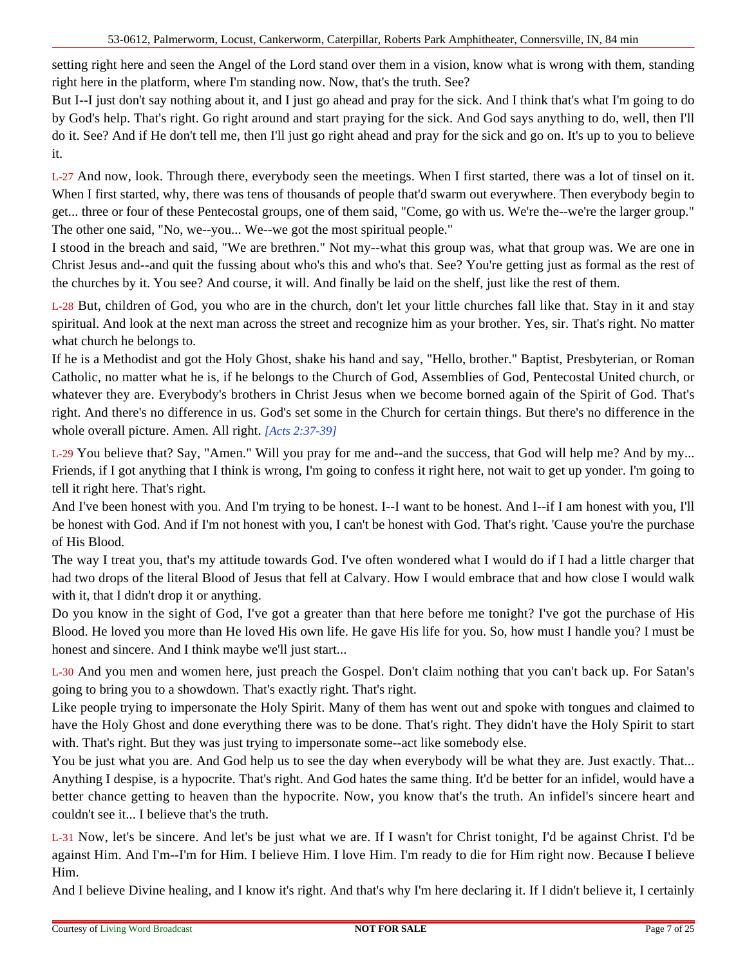setting right here and seen the Angel of the Lord stand over them in a vision, know what is wrong with them, standing right here in the platform, where I'm standing now. Now, that's the truth. See?

But I--I just don't say nothing about it, and I just go ahead and pray for the sick. And I think that's what I'm going to do by God's help. That's right. Go right around and start praying for the sick. And God says anything to do, well, then I'll do it. See? And if He don't tell me, then I'll just go right ahead and pray for the sick and go on. It's up to you to believe it.

L-27 And now, look. Through there, everybody seen the meetings. When I first started, there was a lot of tinsel on it. When I first started, why, there was tens of thousands of people that'd swarm out everywhere. Then everybody begin to get... three or four of these Pentecostal groups, one of them said, "Come, go with us. We're the--we're the larger group." The other one said, "No, we--you... We--we got the most spiritual people."

I stood in the breach and said, "We are brethren." Not my--what this group was, what that group was. We are one in Christ Jesus and--and quit the fussing about who's this and who's that. See? You're getting just as formal as the rest of the churches by it. You see? And course, it will. And finally be laid on the shelf, just like the rest of them.

L-28 But, children of God, you who are in the church, don't let your little churches fall like that. Stay in it and stay spiritual. And look at the next man across the street and recognize him as your brother. Yes, sir. That's right. No matter what church he belongs to.

If he is a Methodist and got the Holy Ghost, shake his hand and say, "Hello, brother." Baptist, Presbyterian, or Roman Catholic, no matter what he is, if he belongs to the Church of God, Assemblies of God, Pentecostal United church, or whatever they are. Everybody's brothers in Christ Jesus when we become borned again of the Spirit of God. That's right. And there's no difference in us. God's set some in the Church for certain things. But there's no difference in the whole overall picture. Amen. All right. *[Acts 2:37-39]*

L-29 You believe that? Say, "Amen." Will you pray for me and--and the success, that God will help me? And by my... Friends, if I got anything that I think is wrong, I'm going to confess it right here, not wait to get up yonder. I'm going to tell it right here. That's right.

And I've been honest with you. And I'm trying to be honest. I--I want to be honest. And I--if I am honest with you, I'll be honest with God. And if I'm not honest with you, I can't be honest with God. That's right. 'Cause you're the purchase of His Blood.

The way I treat you, that's my attitude towards God. I've often wondered what I would do if I had a little charger that had two drops of the literal Blood of Jesus that fell at Calvary. How I would embrace that and how close I would walk with it, that I didn't drop it or anything.

Do you know in the sight of God, I've got a greater than that here before me tonight? I've got the purchase of His Blood. He loved you more than He loved His own life. He gave His life for you. So, how must I handle you? I must be honest and sincere. And I think maybe we'll just start...

L-30 And you men and women here, just preach the Gospel. Don't claim nothing that you can't back up. For Satan's going to bring you to a showdown. That's exactly right. That's right.

Like people trying to impersonate the Holy Spirit. Many of them has went out and spoke with tongues and claimed to have the Holy Ghost and done everything there was to be done. That's right. They didn't have the Holy Spirit to start with. That's right. But they was just trying to impersonate some--act like somebody else.

You be just what you are. And God help us to see the day when everybody will be what they are. Just exactly. That... Anything I despise, is a hypocrite. That's right. And God hates the same thing. It'd be better for an infidel, would have a better chance getting to heaven than the hypocrite. Now, you know that's the truth. An infidel's sincere heart and couldn't see it... I believe that's the truth.

L-31 Now, let's be sincere. And let's be just what we are. If I wasn't for Christ tonight, I'd be against Christ. I'd be against Him. And I'm--I'm for Him. I believe Him. I love Him. I'm ready to die for Him right now. Because I believe Him.

And I believe Divine healing, and I know it's right. And that's why I'm here declaring it. If I didn't believe it, I certainly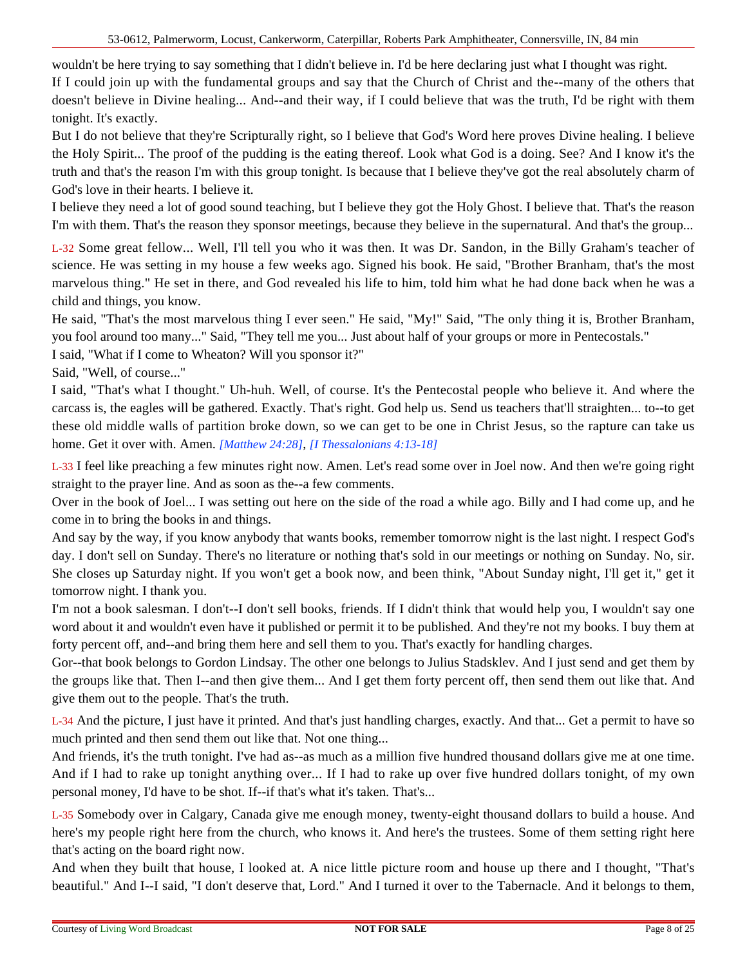wouldn't be here trying to say something that I didn't believe in. I'd be here declaring just what I thought was right.

If I could join up with the fundamental groups and say that the Church of Christ and the--many of the others that doesn't believe in Divine healing... And--and their way, if I could believe that was the truth, I'd be right with them tonight. It's exactly.

But I do not believe that they're Scripturally right, so I believe that God's Word here proves Divine healing. I believe the Holy Spirit... The proof of the pudding is the eating thereof. Look what God is a doing. See? And I know it's the truth and that's the reason I'm with this group tonight. Is because that I believe they've got the real absolutely charm of God's love in their hearts. I believe it.

I believe they need a lot of good sound teaching, but I believe they got the Holy Ghost. I believe that. That's the reason I'm with them. That's the reason they sponsor meetings, because they believe in the supernatural. And that's the group...

L-32 Some great fellow... Well, I'll tell you who it was then. It was Dr. Sandon, in the Billy Graham's teacher of science. He was setting in my house a few weeks ago. Signed his book. He said, "Brother Branham, that's the most marvelous thing." He set in there, and God revealed his life to him, told him what he had done back when he was a child and things, you know.

He said, "That's the most marvelous thing I ever seen." He said, "My!" Said, "The only thing it is, Brother Branham, you fool around too many..." Said, "They tell me you... Just about half of your groups or more in Pentecostals."

I said, "What if I come to Wheaton? Will you sponsor it?"

Said, "Well, of course..."

I said, "That's what I thought." Uh-huh. Well, of course. It's the Pentecostal people who believe it. And where the carcass is, the eagles will be gathered. Exactly. That's right. God help us. Send us teachers that'll straighten... to--to get these old middle walls of partition broke down, so we can get to be one in Christ Jesus, so the rapture can take us home. Get it over with. Amen. *[Matthew 24:28]*, *[I Thessalonians 4:13-18]*

L-33 I feel like preaching a few minutes right now. Amen. Let's read some over in Joel now. And then we're going right straight to the prayer line. And as soon as the--a few comments.

Over in the book of Joel... I was setting out here on the side of the road a while ago. Billy and I had come up, and he come in to bring the books in and things.

And say by the way, if you know anybody that wants books, remember tomorrow night is the last night. I respect God's day. I don't sell on Sunday. There's no literature or nothing that's sold in our meetings or nothing on Sunday. No, sir. She closes up Saturday night. If you won't get a book now, and been think, "About Sunday night, I'll get it," get it tomorrow night. I thank you.

I'm not a book salesman. I don't--I don't sell books, friends. If I didn't think that would help you, I wouldn't say one word about it and wouldn't even have it published or permit it to be published. And they're not my books. I buy them at forty percent off, and--and bring them here and sell them to you. That's exactly for handling charges.

Gor--that book belongs to Gordon Lindsay. The other one belongs to Julius Stadsklev. And I just send and get them by the groups like that. Then I--and then give them... And I get them forty percent off, then send them out like that. And give them out to the people. That's the truth.

L-34 And the picture, I just have it printed. And that's just handling charges, exactly. And that... Get a permit to have so much printed and then send them out like that. Not one thing...

And friends, it's the truth tonight. I've had as--as much as a million five hundred thousand dollars give me at one time. And if I had to rake up tonight anything over... If I had to rake up over five hundred dollars tonight, of my own personal money, I'd have to be shot. If--if that's what it's taken. That's...

L-35 Somebody over in Calgary, Canada give me enough money, twenty-eight thousand dollars to build a house. And here's my people right here from the church, who knows it. And here's the trustees. Some of them setting right here that's acting on the board right now.

And when they built that house, I looked at. A nice little picture room and house up there and I thought, "That's beautiful." And I--I said, "I don't deserve that, Lord." And I turned it over to the Tabernacle. And it belongs to them,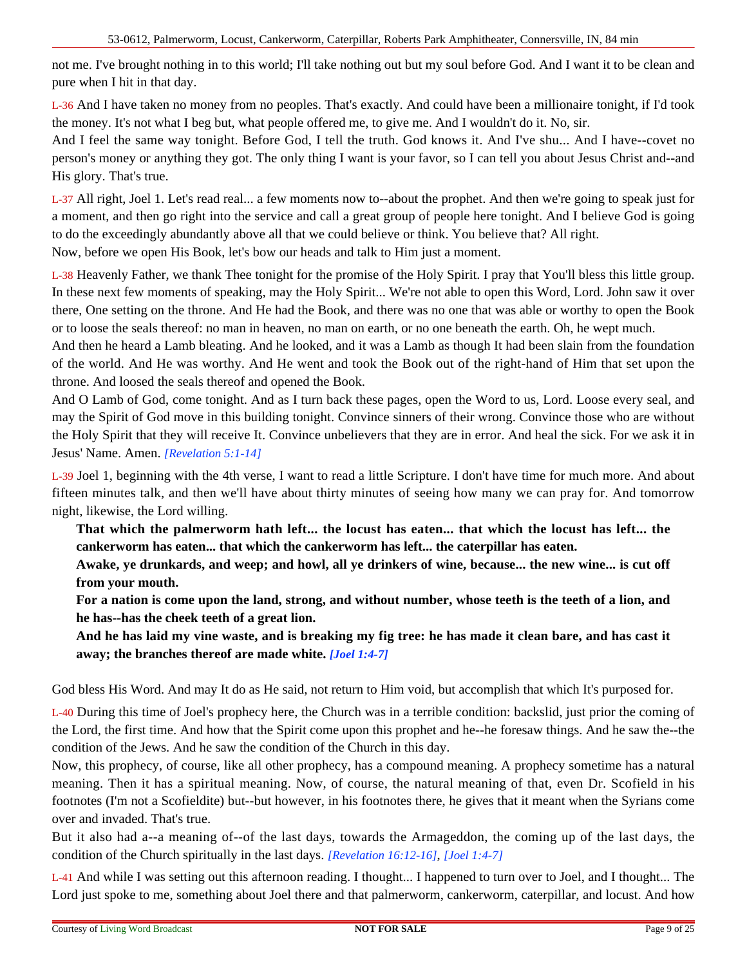not me. I've brought nothing in to this world; I'll take nothing out but my soul before God. And I want it to be clean and pure when I hit in that day.

L-36 And I have taken no money from no peoples. That's exactly. And could have been a millionaire tonight, if I'd took the money. It's not what I beg but, what people offered me, to give me. And I wouldn't do it. No, sir.

And I feel the same way tonight. Before God, I tell the truth. God knows it. And I've shu... And I have--covet no person's money or anything they got. The only thing I want is your favor, so I can tell you about Jesus Christ and--and His glory. That's true.

L-37 All right, Joel 1. Let's read real... a few moments now to--about the prophet. And then we're going to speak just for a moment, and then go right into the service and call a great group of people here tonight. And I believe God is going to do the exceedingly abundantly above all that we could believe or think. You believe that? All right. Now, before we open His Book, let's bow our heads and talk to Him just a moment.

L-38 Heavenly Father, we thank Thee tonight for the promise of the Holy Spirit. I pray that You'll bless this little group. In these next few moments of speaking, may the Holy Spirit... We're not able to open this Word, Lord. John saw it over there, One setting on the throne. And He had the Book, and there was no one that was able or worthy to open the Book or to loose the seals thereof: no man in heaven, no man on earth, or no one beneath the earth. Oh, he wept much.

And then he heard a Lamb bleating. And he looked, and it was a Lamb as though It had been slain from the foundation of the world. And He was worthy. And He went and took the Book out of the right-hand of Him that set upon the throne. And loosed the seals thereof and opened the Book.

And O Lamb of God, come tonight. And as I turn back these pages, open the Word to us, Lord. Loose every seal, and may the Spirit of God move in this building tonight. Convince sinners of their wrong. Convince those who are without the Holy Spirit that they will receive It. Convince unbelievers that they are in error. And heal the sick. For we ask it in Jesus' Name. Amen. *[Revelation 5:1-14]*

L-39 Joel 1, beginning with the 4th verse, I want to read a little Scripture. I don't have time for much more. And about fifteen minutes talk, and then we'll have about thirty minutes of seeing how many we can pray for. And tomorrow night, likewise, the Lord willing.

**That which the palmerworm hath left... the locust has eaten... that which the locust has left... the cankerworm has eaten... that which the cankerworm has left... the caterpillar has eaten.**

**Awake, ye drunkards, and weep; and howl, all ye drinkers of wine, because... the new wine... is cut off from your mouth.**

**For a nation is come upon the land, strong, and without number, whose teeth is the teeth of a lion, and he has--has the cheek teeth of a great lion.**

**And he has laid my vine waste, and is breaking my fig tree: he has made it clean bare, and has cast it away; the branches thereof are made white.** *[Joel 1:4-7]*

God bless His Word. And may It do as He said, not return to Him void, but accomplish that which It's purposed for.

L-40 During this time of Joel's prophecy here, the Church was in a terrible condition: backslid, just prior the coming of the Lord, the first time. And how that the Spirit come upon this prophet and he--he foresaw things. And he saw the--the condition of the Jews. And he saw the condition of the Church in this day.

Now, this prophecy, of course, like all other prophecy, has a compound meaning. A prophecy sometime has a natural meaning. Then it has a spiritual meaning. Now, of course, the natural meaning of that, even Dr. Scofield in his footnotes (I'm not a Scofieldite) but--but however, in his footnotes there, he gives that it meant when the Syrians come over and invaded. That's true.

But it also had a--a meaning of--of the last days, towards the Armageddon, the coming up of the last days, the condition of the Church spiritually in the last days. *[Revelation 16:12-16]*, *[Joel 1:4-7]*

L-41 And while I was setting out this afternoon reading. I thought... I happened to turn over to Joel, and I thought... The Lord just spoke to me, something about Joel there and that palmerworm, cankerworm, caterpillar, and locust. And how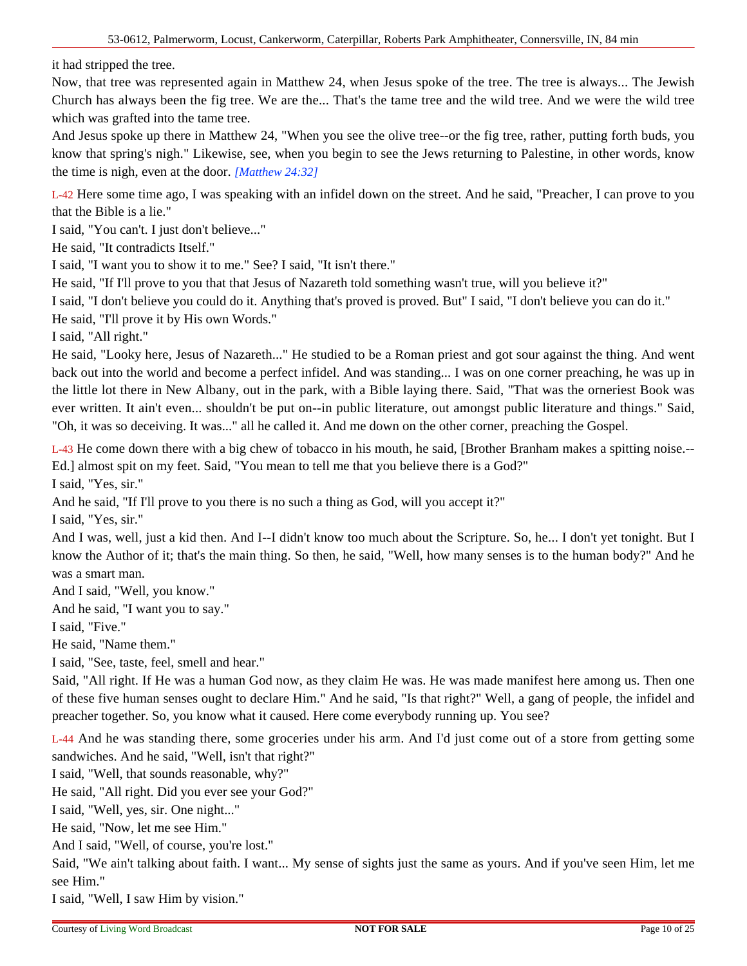it had stripped the tree.

Now, that tree was represented again in Matthew 24, when Jesus spoke of the tree. The tree is always... The Jewish Church has always been the fig tree. We are the... That's the tame tree and the wild tree. And we were the wild tree which was grafted into the tame tree.

And Jesus spoke up there in Matthew 24, "When you see the olive tree--or the fig tree, rather, putting forth buds, you know that spring's nigh." Likewise, see, when you begin to see the Jews returning to Palestine, in other words, know the time is nigh, even at the door. *[Matthew 24:32]*

L-42 Here some time ago, I was speaking with an infidel down on the street. And he said, "Preacher, I can prove to you that the Bible is a lie."

I said, "You can't. I just don't believe..."

He said, "It contradicts Itself."

I said, "I want you to show it to me." See? I said, "It isn't there."

He said, "If I'll prove to you that that Jesus of Nazareth told something wasn't true, will you believe it?"

I said, "I don't believe you could do it. Anything that's proved is proved. But" I said, "I don't believe you can do it."

He said, "I'll prove it by His own Words."

I said, "All right."

He said, "Looky here, Jesus of Nazareth..." He studied to be a Roman priest and got sour against the thing. And went back out into the world and become a perfect infidel. And was standing... I was on one corner preaching, he was up in the little lot there in New Albany, out in the park, with a Bible laying there. Said, "That was the orneriest Book was ever written. It ain't even... shouldn't be put on--in public literature, out amongst public literature and things." Said, "Oh, it was so deceiving. It was..." all he called it. And me down on the other corner, preaching the Gospel.

L-43 He come down there with a big chew of tobacco in his mouth, he said, [Brother Branham makes a spitting noise.-- Ed.] almost spit on my feet. Said, "You mean to tell me that you believe there is a God?"

I said, "Yes, sir."

And he said, "If I'll prove to you there is no such a thing as God, will you accept it?"

I said, "Yes, sir."

And I was, well, just a kid then. And I--I didn't know too much about the Scripture. So, he... I don't yet tonight. But I know the Author of it; that's the main thing. So then, he said, "Well, how many senses is to the human body?" And he was a smart man.

And I said, "Well, you know."

And he said, "I want you to say."

I said, "Five."

He said, "Name them."

I said, "See, taste, feel, smell and hear."

Said, "All right. If He was a human God now, as they claim He was. He was made manifest here among us. Then one of these five human senses ought to declare Him." And he said, "Is that right?" Well, a gang of people, the infidel and preacher together. So, you know what it caused. Here come everybody running up. You see?

L-44 And he was standing there, some groceries under his arm. And I'd just come out of a store from getting some sandwiches. And he said, "Well, isn't that right?"

I said, "Well, that sounds reasonable, why?"

He said, "All right. Did you ever see your God?"

I said, "Well, yes, sir. One night..."

He said, "Now, let me see Him."

And I said, "Well, of course, you're lost."

Said, "We ain't talking about faith. I want... My sense of sights just the same as yours. And if you've seen Him, let me see Him."

I said, "Well, I saw Him by vision."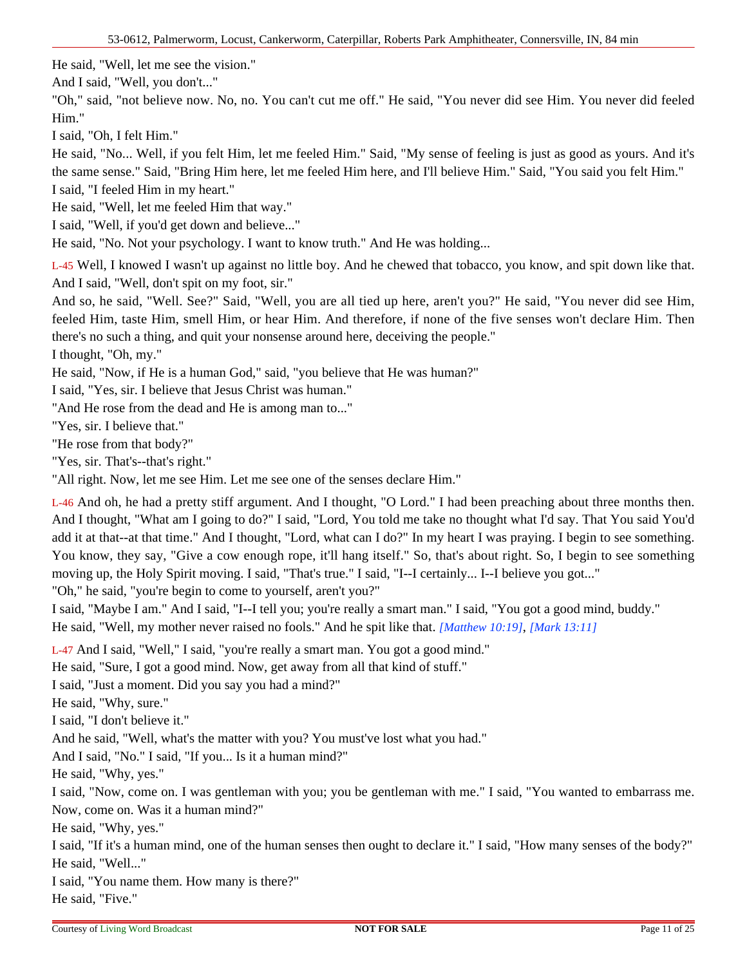He said, "Well, let me see the vision."

And I said, "Well, you don't..."

"Oh," said, "not believe now. No, no. You can't cut me off." He said, "You never did see Him. You never did feeled Him."

I said, "Oh, I felt Him."

He said, "No... Well, if you felt Him, let me feeled Him." Said, "My sense of feeling is just as good as yours. And it's the same sense." Said, "Bring Him here, let me feeled Him here, and I'll believe Him." Said, "You said you felt Him." I said, "I feeled Him in my heart."

He said, "Well, let me feeled Him that way."

I said, "Well, if you'd get down and believe..."

He said, "No. Not your psychology. I want to know truth." And He was holding...

L-45 Well, I knowed I wasn't up against no little boy. And he chewed that tobacco, you know, and spit down like that. And I said, "Well, don't spit on my foot, sir."

And so, he said, "Well. See?" Said, "Well, you are all tied up here, aren't you?" He said, "You never did see Him, feeled Him, taste Him, smell Him, or hear Him. And therefore, if none of the five senses won't declare Him. Then there's no such a thing, and quit your nonsense around here, deceiving the people."

I thought, "Oh, my."

He said, "Now, if He is a human God," said, "you believe that He was human?"

I said, "Yes, sir. I believe that Jesus Christ was human."

"And He rose from the dead and He is among man to..."

"Yes, sir. I believe that."

"He rose from that body?"

"Yes, sir. That's--that's right."

"All right. Now, let me see Him. Let me see one of the senses declare Him."

L-46 And oh, he had a pretty stiff argument. And I thought, "O Lord." I had been preaching about three months then. And I thought, "What am I going to do?" I said, "Lord, You told me take no thought what I'd say. That You said You'd add it at that--at that time." And I thought, "Lord, what can I do?" In my heart I was praying. I begin to see something. You know, they say, "Give a cow enough rope, it'll hang itself." So, that's about right. So, I begin to see something moving up, the Holy Spirit moving. I said, "That's true." I said, "I--I certainly... I--I believe you got..."

"Oh," he said, "you're begin to come to yourself, aren't you?"

I said, "Maybe I am." And I said, "I--I tell you; you're really a smart man." I said, "You got a good mind, buddy." He said, "Well, my mother never raised no fools." And he spit like that. *[Matthew 10:19]*, *[Mark 13:11]*

L-47 And I said, "Well," I said, "you're really a smart man. You got a good mind."

He said, "Sure, I got a good mind. Now, get away from all that kind of stuff."

I said, "Just a moment. Did you say you had a mind?"

He said, "Why, sure."

I said, "I don't believe it."

And he said, "Well, what's the matter with you? You must've lost what you had."

And I said, "No." I said, "If you... Is it a human mind?"

He said, "Why, yes."

I said, "Now, come on. I was gentleman with you; you be gentleman with me." I said, "You wanted to embarrass me. Now, come on. Was it a human mind?"

He said, "Why, yes."

I said, "If it's a human mind, one of the human senses then ought to declare it." I said, "How many senses of the body?" He said, "Well..."

I said, "You name them. How many is there?"

He said, "Five."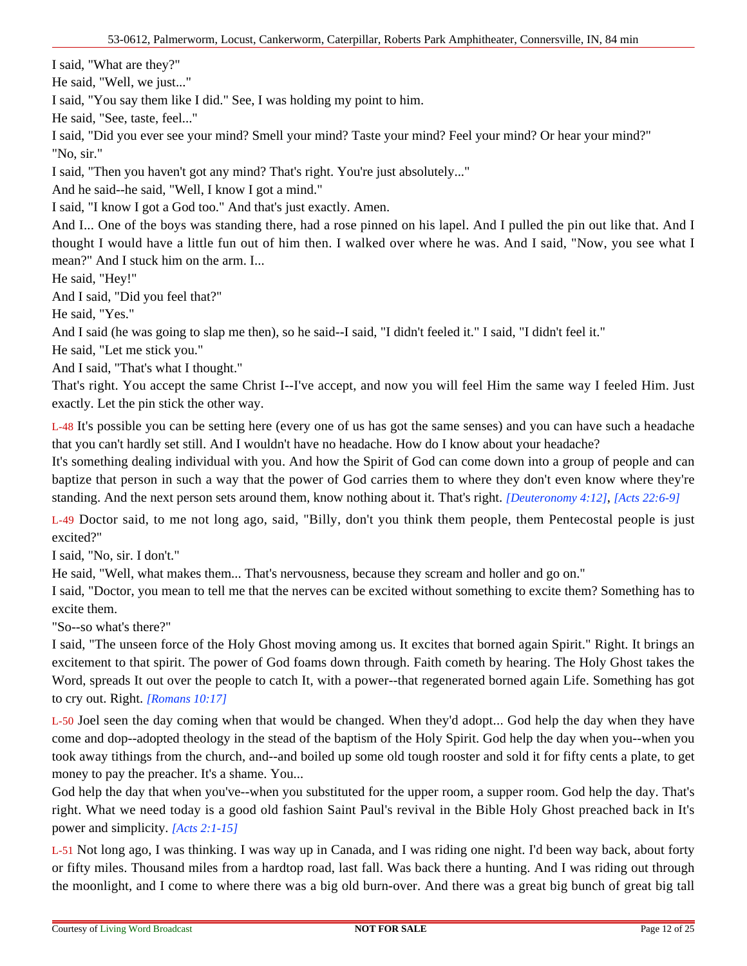I said, "What are they?"

He said, "Well, we just..."

I said, "You say them like I did." See, I was holding my point to him.

He said, "See, taste, feel..."

I said, "Did you ever see your mind? Smell your mind? Taste your mind? Feel your mind? Or hear your mind?" "No, sir."

I said, "Then you haven't got any mind? That's right. You're just absolutely..."

And he said--he said, "Well, I know I got a mind."

I said, "I know I got a God too." And that's just exactly. Amen.

And I... One of the boys was standing there, had a rose pinned on his lapel. And I pulled the pin out like that. And I thought I would have a little fun out of him then. I walked over where he was. And I said, "Now, you see what I mean?" And I stuck him on the arm. I...

He said, "Hey!"

And I said, "Did you feel that?"

He said, "Yes."

And I said (he was going to slap me then), so he said--I said, "I didn't feeled it." I said, "I didn't feel it."

He said, "Let me stick you."

And I said, "That's what I thought."

That's right. You accept the same Christ I--I've accept, and now you will feel Him the same way I feeled Him. Just exactly. Let the pin stick the other way.

L-48 It's possible you can be setting here (every one of us has got the same senses) and you can have such a headache that you can't hardly set still. And I wouldn't have no headache. How do I know about your headache?

It's something dealing individual with you. And how the Spirit of God can come down into a group of people and can baptize that person in such a way that the power of God carries them to where they don't even know where they're standing. And the next person sets around them, know nothing about it. That's right. *[Deuteronomy 4:12]*, *[Acts 22:6-9]*

L-49 Doctor said, to me not long ago, said, "Billy, don't you think them people, them Pentecostal people is just excited?"

I said, "No, sir. I don't."

He said, "Well, what makes them... That's nervousness, because they scream and holler and go on."

I said, "Doctor, you mean to tell me that the nerves can be excited without something to excite them? Something has to excite them.

"So--so what's there?"

I said, "The unseen force of the Holy Ghost moving among us. It excites that borned again Spirit." Right. It brings an excitement to that spirit. The power of God foams down through. Faith cometh by hearing. The Holy Ghost takes the Word, spreads It out over the people to catch It, with a power--that regenerated borned again Life. Something has got to cry out. Right. *[Romans 10:17]*

L-50 Joel seen the day coming when that would be changed. When they'd adopt... God help the day when they have come and dop--adopted theology in the stead of the baptism of the Holy Spirit. God help the day when you--when you took away tithings from the church, and--and boiled up some old tough rooster and sold it for fifty cents a plate, to get money to pay the preacher. It's a shame. You...

God help the day that when you've--when you substituted for the upper room, a supper room. God help the day. That's right. What we need today is a good old fashion Saint Paul's revival in the Bible Holy Ghost preached back in It's power and simplicity. *[Acts 2:1-15]*

L-51 Not long ago, I was thinking. I was way up in Canada, and I was riding one night. I'd been way back, about forty or fifty miles. Thousand miles from a hardtop road, last fall. Was back there a hunting. And I was riding out through the moonlight, and I come to where there was a big old burn-over. And there was a great big bunch of great big tall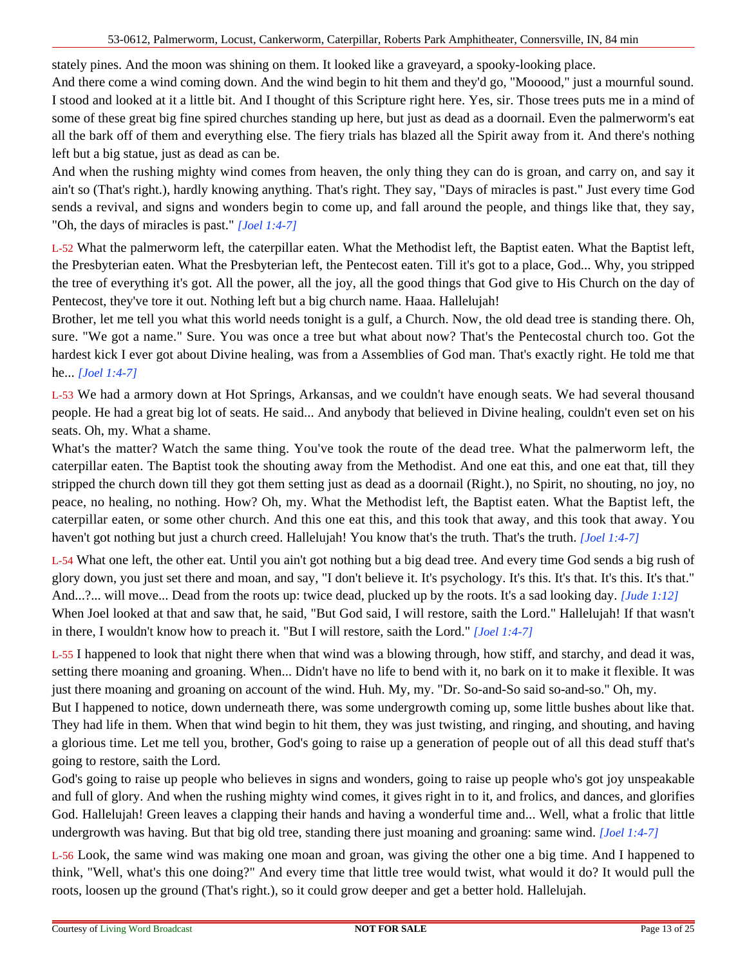stately pines. And the moon was shining on them. It looked like a graveyard, a spooky-looking place.

And there come a wind coming down. And the wind begin to hit them and they'd go, "Mooood," just a mournful sound. I stood and looked at it a little bit. And I thought of this Scripture right here. Yes, sir. Those trees puts me in a mind of some of these great big fine spired churches standing up here, but just as dead as a doornail. Even the palmerworm's eat all the bark off of them and everything else. The fiery trials has blazed all the Spirit away from it. And there's nothing left but a big statue, just as dead as can be.

And when the rushing mighty wind comes from heaven, the only thing they can do is groan, and carry on, and say it ain't so (That's right.), hardly knowing anything. That's right. They say, "Days of miracles is past." Just every time God sends a revival, and signs and wonders begin to come up, and fall around the people, and things like that, they say, "Oh, the days of miracles is past." *[Joel 1:4-7]*

L-52 What the palmerworm left, the caterpillar eaten. What the Methodist left, the Baptist eaten. What the Baptist left, the Presbyterian eaten. What the Presbyterian left, the Pentecost eaten. Till it's got to a place, God... Why, you stripped the tree of everything it's got. All the power, all the joy, all the good things that God give to His Church on the day of Pentecost, they've tore it out. Nothing left but a big church name. Haaa. Hallelujah!

Brother, let me tell you what this world needs tonight is a gulf, a Church. Now, the old dead tree is standing there. Oh, sure. "We got a name." Sure. You was once a tree but what about now? That's the Pentecostal church too. Got the hardest kick I ever got about Divine healing, was from a Assemblies of God man. That's exactly right. He told me that he... *[Joel 1:4-7]*

L-53 We had a armory down at Hot Springs, Arkansas, and we couldn't have enough seats. We had several thousand people. He had a great big lot of seats. He said... And anybody that believed in Divine healing, couldn't even set on his seats. Oh, my. What a shame.

What's the matter? Watch the same thing. You've took the route of the dead tree. What the palmerworm left, the caterpillar eaten. The Baptist took the shouting away from the Methodist. And one eat this, and one eat that, till they stripped the church down till they got them setting just as dead as a doornail (Right.), no Spirit, no shouting, no joy, no peace, no healing, no nothing. How? Oh, my. What the Methodist left, the Baptist eaten. What the Baptist left, the caterpillar eaten, or some other church. And this one eat this, and this took that away, and this took that away. You haven't got nothing but just a church creed. Hallelujah! You know that's the truth. That's the truth. *[Joel 1:4-7]*

L-54 What one left, the other eat. Until you ain't got nothing but a big dead tree. And every time God sends a big rush of glory down, you just set there and moan, and say, "I don't believe it. It's psychology. It's this. It's that. It's this. It's that." And...?... will move... Dead from the roots up: twice dead, plucked up by the roots. It's a sad looking day. *[Jude 1:12]* When Joel looked at that and saw that, he said, "But God said, I will restore, saith the Lord." Hallelujah! If that wasn't in there, I wouldn't know how to preach it. "But I will restore, saith the Lord." *[Joel 1:4-7]*

L-55 I happened to look that night there when that wind was a blowing through, how stiff, and starchy, and dead it was, setting there moaning and groaning. When... Didn't have no life to bend with it, no bark on it to make it flexible. It was just there moaning and groaning on account of the wind. Huh. My, my. "Dr. So-and-So said so-and-so." Oh, my.

But I happened to notice, down underneath there, was some undergrowth coming up, some little bushes about like that. They had life in them. When that wind begin to hit them, they was just twisting, and ringing, and shouting, and having a glorious time. Let me tell you, brother, God's going to raise up a generation of people out of all this dead stuff that's going to restore, saith the Lord.

God's going to raise up people who believes in signs and wonders, going to raise up people who's got joy unspeakable and full of glory. And when the rushing mighty wind comes, it gives right in to it, and frolics, and dances, and glorifies God. Hallelujah! Green leaves a clapping their hands and having a wonderful time and... Well, what a frolic that little undergrowth was having. But that big old tree, standing there just moaning and groaning: same wind. *[Joel 1:4-7]*

L-56 Look, the same wind was making one moan and groan, was giving the other one a big time. And I happened to think, "Well, what's this one doing?" And every time that little tree would twist, what would it do? It would pull the roots, loosen up the ground (That's right.), so it could grow deeper and get a better hold. Hallelujah.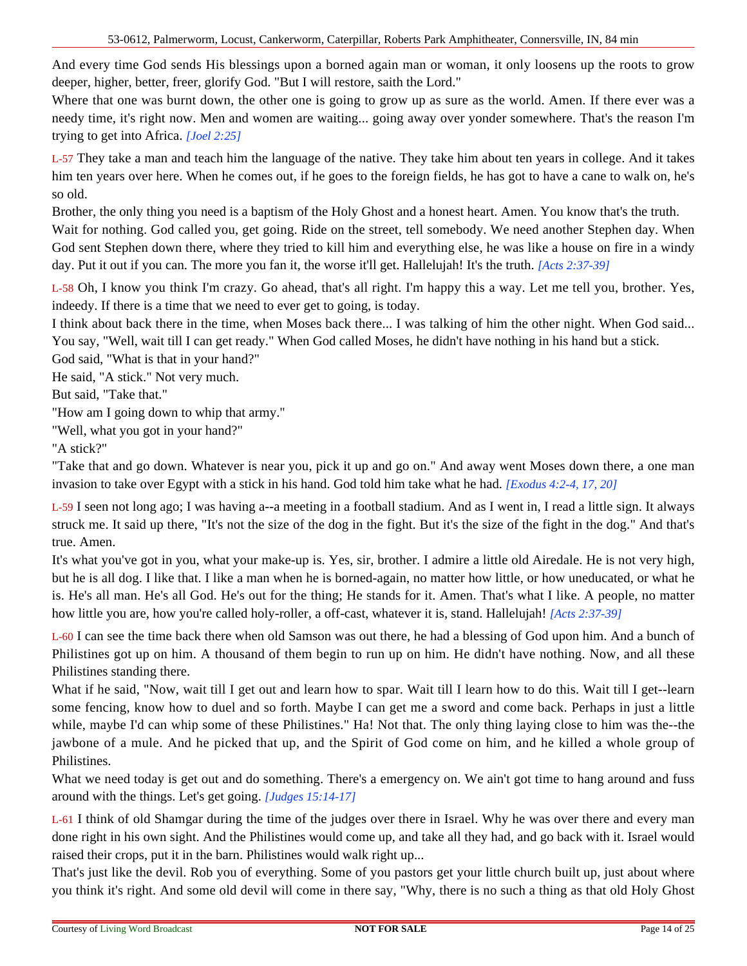And every time God sends His blessings upon a borned again man or woman, it only loosens up the roots to grow deeper, higher, better, freer, glorify God. "But I will restore, saith the Lord."

Where that one was burnt down, the other one is going to grow up as sure as the world. Amen. If there ever was a needy time, it's right now. Men and women are waiting... going away over yonder somewhere. That's the reason I'm trying to get into Africa. *[Joel 2:25]*

L-57 They take a man and teach him the language of the native. They take him about ten years in college. And it takes him ten years over here. When he comes out, if he goes to the foreign fields, he has got to have a cane to walk on, he's so old.

Brother, the only thing you need is a baptism of the Holy Ghost and a honest heart. Amen. You know that's the truth. Wait for nothing. God called you, get going. Ride on the street, tell somebody. We need another Stephen day. When God sent Stephen down there, where they tried to kill him and everything else, he was like a house on fire in a windy day. Put it out if you can. The more you fan it, the worse it'll get. Hallelujah! It's the truth. *[Acts 2:37-39]*

L-58 Oh, I know you think I'm crazy. Go ahead, that's all right. I'm happy this a way. Let me tell you, brother. Yes, indeedy. If there is a time that we need to ever get to going, is today.

I think about back there in the time, when Moses back there... I was talking of him the other night. When God said... You say, "Well, wait till I can get ready." When God called Moses, he didn't have nothing in his hand but a stick.

God said, "What is that in your hand?"

He said, "A stick." Not very much.

But said, "Take that."

"How am I going down to whip that army."

"Well, what you got in your hand?"

"A stick?"

"Take that and go down. Whatever is near you, pick it up and go on." And away went Moses down there, a one man invasion to take over Egypt with a stick in his hand. God told him take what he had. *[Exodus 4:2-4, 17, 20]*

L-59 I seen not long ago; I was having a--a meeting in a football stadium. And as I went in, I read a little sign. It always struck me. It said up there, "It's not the size of the dog in the fight. But it's the size of the fight in the dog." And that's true. Amen.

It's what you've got in you, what your make-up is. Yes, sir, brother. I admire a little old Airedale. He is not very high, but he is all dog. I like that. I like a man when he is borned-again, no matter how little, or how uneducated, or what he is. He's all man. He's all God. He's out for the thing; He stands for it. Amen. That's what I like. A people, no matter how little you are, how you're called holy-roller, a off-cast, whatever it is, stand. Hallelujah! *[Acts 2:37-39]* 

L-60 I can see the time back there when old Samson was out there, he had a blessing of God upon him. And a bunch of Philistines got up on him. A thousand of them begin to run up on him. He didn't have nothing. Now, and all these Philistines standing there.

What if he said, "Now, wait till I get out and learn how to spar. Wait till I learn how to do this. Wait till I get--learn some fencing, know how to duel and so forth. Maybe I can get me a sword and come back. Perhaps in just a little while, maybe I'd can whip some of these Philistines." Ha! Not that. The only thing laying close to him was the--the jawbone of a mule. And he picked that up, and the Spirit of God come on him, and he killed a whole group of Philistines.

What we need today is get out and do something. There's a emergency on. We ain't got time to hang around and fuss around with the things. Let's get going. *[Judges 15:14-17]*

L-61 I think of old Shamgar during the time of the judges over there in Israel. Why he was over there and every man done right in his own sight. And the Philistines would come up, and take all they had, and go back with it. Israel would raised their crops, put it in the barn. Philistines would walk right up...

That's just like the devil. Rob you of everything. Some of you pastors get your little church built up, just about where you think it's right. And some old devil will come in there say, "Why, there is no such a thing as that old Holy Ghost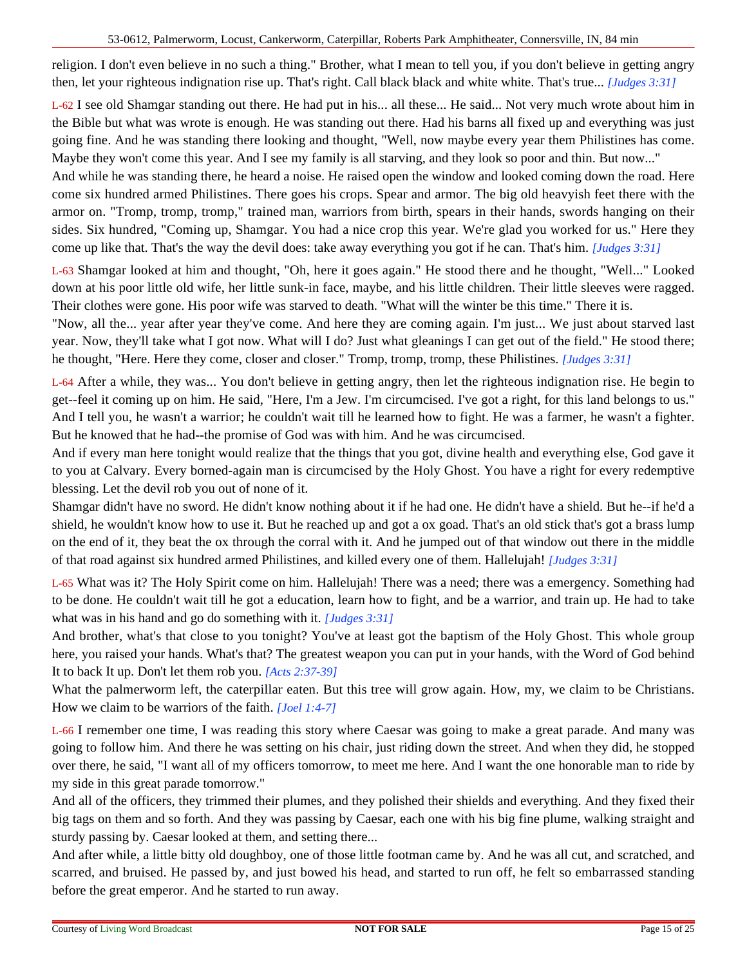religion. I don't even believe in no such a thing." Brother, what I mean to tell you, if you don't believe in getting angry then, let your righteous indignation rise up. That's right. Call black black and white white. That's true... *[Judges 3:31]*

L-62 I see old Shamgar standing out there. He had put in his... all these... He said... Not very much wrote about him in the Bible but what was wrote is enough. He was standing out there. Had his barns all fixed up and everything was just going fine. And he was standing there looking and thought, "Well, now maybe every year them Philistines has come. Maybe they won't come this year. And I see my family is all starving, and they look so poor and thin. But now..."

And while he was standing there, he heard a noise. He raised open the window and looked coming down the road. Here come six hundred armed Philistines. There goes his crops. Spear and armor. The big old heavyish feet there with the armor on. "Tromp, tromp, tromp," trained man, warriors from birth, spears in their hands, swords hanging on their sides. Six hundred, "Coming up, Shamgar. You had a nice crop this year. We're glad you worked for us." Here they come up like that. That's the way the devil does: take away everything you got if he can. That's him. *[Judges 3:31]*

L-63 Shamgar looked at him and thought, "Oh, here it goes again." He stood there and he thought, "Well..." Looked down at his poor little old wife, her little sunk-in face, maybe, and his little children. Their little sleeves were ragged. Their clothes were gone. His poor wife was starved to death. "What will the winter be this time." There it is.

"Now, all the... year after year they've come. And here they are coming again. I'm just... We just about starved last year. Now, they'll take what I got now. What will I do? Just what gleanings I can get out of the field." He stood there; he thought, "Here. Here they come, closer and closer." Tromp, tromp, tromp, these Philistines. *[Judges 3:31]*

L-64 After a while, they was... You don't believe in getting angry, then let the righteous indignation rise. He begin to get--feel it coming up on him. He said, "Here, I'm a Jew. I'm circumcised. I've got a right, for this land belongs to us." And I tell you, he wasn't a warrior; he couldn't wait till he learned how to fight. He was a farmer, he wasn't a fighter. But he knowed that he had--the promise of God was with him. And he was circumcised.

And if every man here tonight would realize that the things that you got, divine health and everything else, God gave it to you at Calvary. Every borned-again man is circumcised by the Holy Ghost. You have a right for every redemptive blessing. Let the devil rob you out of none of it.

Shamgar didn't have no sword. He didn't know nothing about it if he had one. He didn't have a shield. But he--if he'd a shield, he wouldn't know how to use it. But he reached up and got a ox goad. That's an old stick that's got a brass lump on the end of it, they beat the ox through the corral with it. And he jumped out of that window out there in the middle of that road against six hundred armed Philistines, and killed every one of them. Hallelujah! *[Judges 3:31]*

L-65 What was it? The Holy Spirit come on him. Hallelujah! There was a need; there was a emergency. Something had to be done. He couldn't wait till he got a education, learn how to fight, and be a warrior, and train up. He had to take what was in his hand and go do something with it. *[Judges 3:31]*

And brother, what's that close to you tonight? You've at least got the baptism of the Holy Ghost. This whole group here, you raised your hands. What's that? The greatest weapon you can put in your hands, with the Word of God behind It to back It up. Don't let them rob you. *[Acts 2:37-39]*

What the palmerworm left, the caterpillar eaten. But this tree will grow again. How, my, we claim to be Christians. How we claim to be warriors of the faith. *[Joel 1:4-7]*

L-66 I remember one time, I was reading this story where Caesar was going to make a great parade. And many was going to follow him. And there he was setting on his chair, just riding down the street. And when they did, he stopped over there, he said, "I want all of my officers tomorrow, to meet me here. And I want the one honorable man to ride by my side in this great parade tomorrow."

And all of the officers, they trimmed their plumes, and they polished their shields and everything. And they fixed their big tags on them and so forth. And they was passing by Caesar, each one with his big fine plume, walking straight and sturdy passing by. Caesar looked at them, and setting there...

And after while, a little bitty old doughboy, one of those little footman came by. And he was all cut, and scratched, and scarred, and bruised. He passed by, and just bowed his head, and started to run off, he felt so embarrassed standing before the great emperor. And he started to run away.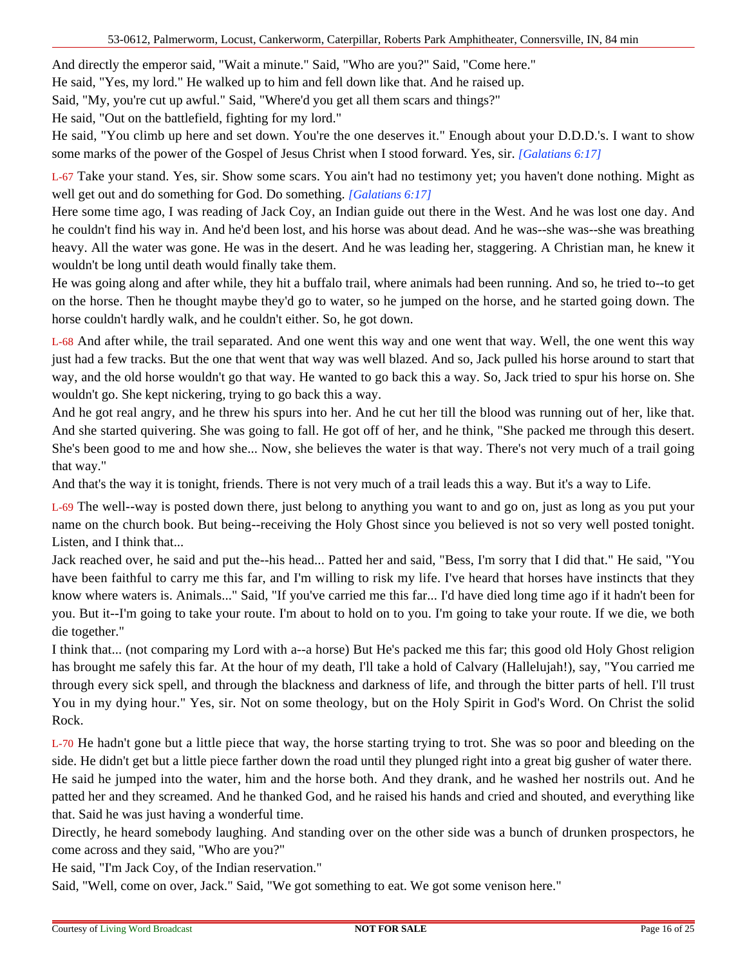And directly the emperor said, "Wait a minute." Said, "Who are you?" Said, "Come here."

He said, "Yes, my lord." He walked up to him and fell down like that. And he raised up.

Said, "My, you're cut up awful." Said, "Where'd you get all them scars and things?"

He said, "Out on the battlefield, fighting for my lord."

He said, "You climb up here and set down. You're the one deserves it." Enough about your D.D.D.'s. I want to show some marks of the power of the Gospel of Jesus Christ when I stood forward. Yes, sir. *[Galatians 6:17]*

L-67 Take your stand. Yes, sir. Show some scars. You ain't had no testimony yet; you haven't done nothing. Might as well get out and do something for God. Do something. *[Galatians 6:17]*

Here some time ago, I was reading of Jack Coy, an Indian guide out there in the West. And he was lost one day. And he couldn't find his way in. And he'd been lost, and his horse was about dead. And he was--she was--she was breathing heavy. All the water was gone. He was in the desert. And he was leading her, staggering. A Christian man, he knew it wouldn't be long until death would finally take them.

He was going along and after while, they hit a buffalo trail, where animals had been running. And so, he tried to--to get on the horse. Then he thought maybe they'd go to water, so he jumped on the horse, and he started going down. The horse couldn't hardly walk, and he couldn't either. So, he got down.

L-68 And after while, the trail separated. And one went this way and one went that way. Well, the one went this way just had a few tracks. But the one that went that way was well blazed. And so, Jack pulled his horse around to start that way, and the old horse wouldn't go that way. He wanted to go back this a way. So, Jack tried to spur his horse on. She wouldn't go. She kept nickering, trying to go back this a way.

And he got real angry, and he threw his spurs into her. And he cut her till the blood was running out of her, like that. And she started quivering. She was going to fall. He got off of her, and he think, "She packed me through this desert. She's been good to me and how she... Now, she believes the water is that way. There's not very much of a trail going that way."

And that's the way it is tonight, friends. There is not very much of a trail leads this a way. But it's a way to Life.

L-69 The well--way is posted down there, just belong to anything you want to and go on, just as long as you put your name on the church book. But being--receiving the Holy Ghost since you believed is not so very well posted tonight. Listen, and I think that...

Jack reached over, he said and put the--his head... Patted her and said, "Bess, I'm sorry that I did that." He said, "You have been faithful to carry me this far, and I'm willing to risk my life. I've heard that horses have instincts that they know where waters is. Animals..." Said, "If you've carried me this far... I'd have died long time ago if it hadn't been for you. But it--I'm going to take your route. I'm about to hold on to you. I'm going to take your route. If we die, we both die together."

I think that... (not comparing my Lord with a--a horse) But He's packed me this far; this good old Holy Ghost religion has brought me safely this far. At the hour of my death, I'll take a hold of Calvary (Hallelujah!), say, "You carried me through every sick spell, and through the blackness and darkness of life, and through the bitter parts of hell. I'll trust You in my dying hour." Yes, sir. Not on some theology, but on the Holy Spirit in God's Word. On Christ the solid Rock.

L-70 He hadn't gone but a little piece that way, the horse starting trying to trot. She was so poor and bleeding on the side. He didn't get but a little piece farther down the road until they plunged right into a great big gusher of water there. He said he jumped into the water, him and the horse both. And they drank, and he washed her nostrils out. And he patted her and they screamed. And he thanked God, and he raised his hands and cried and shouted, and everything like that. Said he was just having a wonderful time.

Directly, he heard somebody laughing. And standing over on the other side was a bunch of drunken prospectors, he come across and they said, "Who are you?"

He said, "I'm Jack Coy, of the Indian reservation."

Said, "Well, come on over, Jack." Said, "We got something to eat. We got some venison here."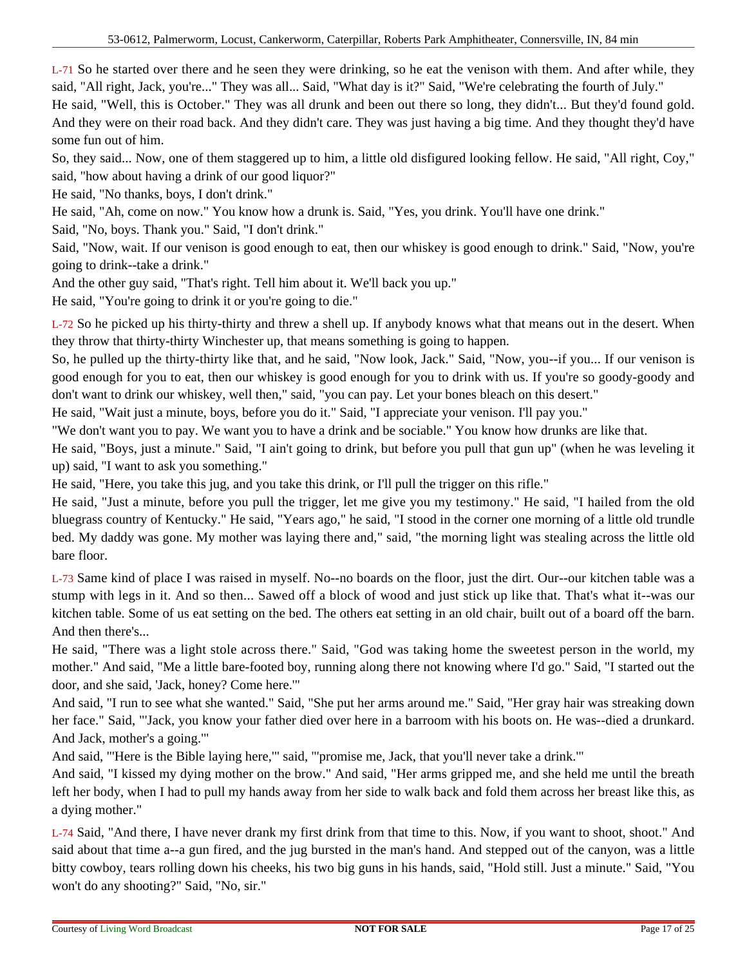L-71 So he started over there and he seen they were drinking, so he eat the venison with them. And after while, they said, "All right, Jack, you're..." They was all... Said, "What day is it?" Said, "We're celebrating the fourth of July."

He said, "Well, this is October." They was all drunk and been out there so long, they didn't... But they'd found gold. And they were on their road back. And they didn't care. They was just having a big time. And they thought they'd have some fun out of him.

So, they said... Now, one of them staggered up to him, a little old disfigured looking fellow. He said, "All right, Coy," said, "how about having a drink of our good liquor?"

He said, "No thanks, boys, I don't drink."

He said, "Ah, come on now." You know how a drunk is. Said, "Yes, you drink. You'll have one drink."

Said, "No, boys. Thank you." Said, "I don't drink."

Said, "Now, wait. If our venison is good enough to eat, then our whiskey is good enough to drink." Said, "Now, you're going to drink--take a drink."

And the other guy said, "That's right. Tell him about it. We'll back you up."

He said, "You're going to drink it or you're going to die."

L-72 So he picked up his thirty-thirty and threw a shell up. If anybody knows what that means out in the desert. When they throw that thirty-thirty Winchester up, that means something is going to happen.

So, he pulled up the thirty-thirty like that, and he said, "Now look, Jack." Said, "Now, you--if you... If our venison is good enough for you to eat, then our whiskey is good enough for you to drink with us. If you're so goody-goody and don't want to drink our whiskey, well then," said, "you can pay. Let your bones bleach on this desert."

He said, "Wait just a minute, boys, before you do it." Said, "I appreciate your venison. I'll pay you."

"We don't want you to pay. We want you to have a drink and be sociable." You know how drunks are like that.

He said, "Boys, just a minute." Said, "I ain't going to drink, but before you pull that gun up" (when he was leveling it up) said, "I want to ask you something."

He said, "Here, you take this jug, and you take this drink, or I'll pull the trigger on this rifle."

He said, "Just a minute, before you pull the trigger, let me give you my testimony." He said, "I hailed from the old bluegrass country of Kentucky." He said, "Years ago," he said, "I stood in the corner one morning of a little old trundle bed. My daddy was gone. My mother was laying there and," said, "the morning light was stealing across the little old bare floor.

L-73 Same kind of place I was raised in myself. No--no boards on the floor, just the dirt. Our--our kitchen table was a stump with legs in it. And so then... Sawed off a block of wood and just stick up like that. That's what it--was our kitchen table. Some of us eat setting on the bed. The others eat setting in an old chair, built out of a board off the barn. And then there's...

He said, "There was a light stole across there." Said, "God was taking home the sweetest person in the world, my mother." And said, "Me a little bare-footed boy, running along there not knowing where I'd go." Said, "I started out the door, and she said, 'Jack, honey? Come here.'"

And said, "I run to see what she wanted." Said, "She put her arms around me." Said, "Her gray hair was streaking down her face." Said, "'Jack, you know your father died over here in a barroom with his boots on. He was--died a drunkard. And Jack, mother's a going.'"

And said, "'Here is the Bible laying here,'" said, "'promise me, Jack, that you'll never take a drink.'"

And said, "I kissed my dying mother on the brow." And said, "Her arms gripped me, and she held me until the breath left her body, when I had to pull my hands away from her side to walk back and fold them across her breast like this, as a dying mother."

L-74 Said, "And there, I have never drank my first drink from that time to this. Now, if you want to shoot, shoot." And said about that time a--a gun fired, and the jug bursted in the man's hand. And stepped out of the canyon, was a little bitty cowboy, tears rolling down his cheeks, his two big guns in his hands, said, "Hold still. Just a minute." Said, "You won't do any shooting?" Said, "No, sir."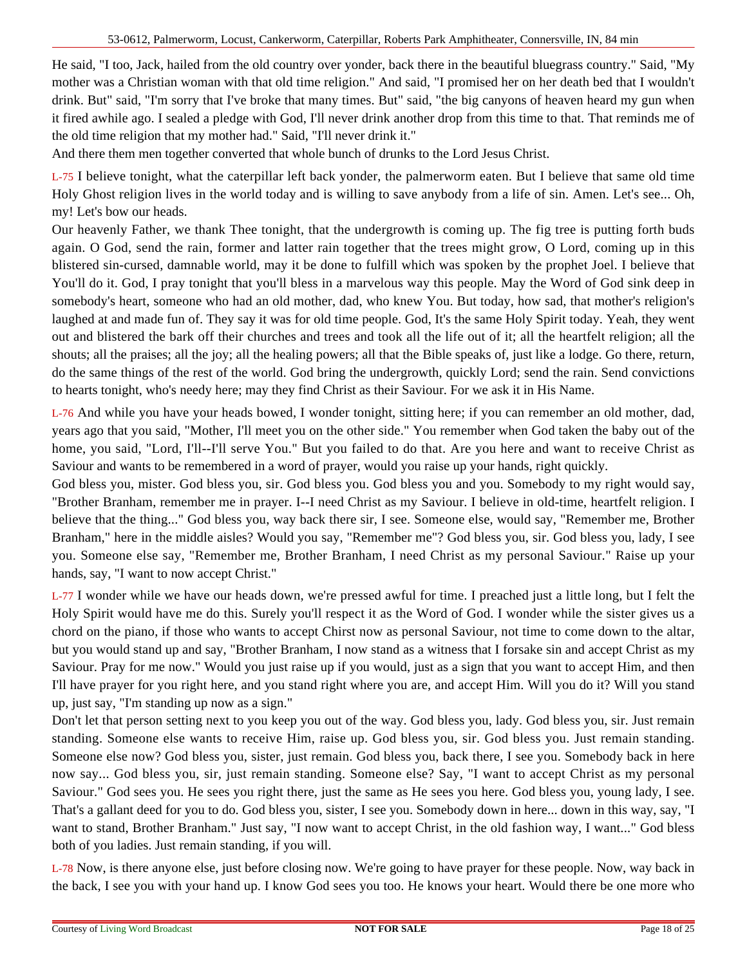He said, "I too, Jack, hailed from the old country over yonder, back there in the beautiful bluegrass country." Said, "My mother was a Christian woman with that old time religion." And said, "I promised her on her death bed that I wouldn't drink. But" said, "I'm sorry that I've broke that many times. But" said, "the big canyons of heaven heard my gun when it fired awhile ago. I sealed a pledge with God, I'll never drink another drop from this time to that. That reminds me of the old time religion that my mother had." Said, "I'll never drink it."

And there them men together converted that whole bunch of drunks to the Lord Jesus Christ.

L-75 I believe tonight, what the caterpillar left back yonder, the palmerworm eaten. But I believe that same old time Holy Ghost religion lives in the world today and is willing to save anybody from a life of sin. Amen. Let's see... Oh, my! Let's bow our heads.

Our heavenly Father, we thank Thee tonight, that the undergrowth is coming up. The fig tree is putting forth buds again. O God, send the rain, former and latter rain together that the trees might grow, O Lord, coming up in this blistered sin-cursed, damnable world, may it be done to fulfill which was spoken by the prophet Joel. I believe that You'll do it. God, I pray tonight that you'll bless in a marvelous way this people. May the Word of God sink deep in somebody's heart, someone who had an old mother, dad, who knew You. But today, how sad, that mother's religion's laughed at and made fun of. They say it was for old time people. God, It's the same Holy Spirit today. Yeah, they went out and blistered the bark off their churches and trees and took all the life out of it; all the heartfelt religion; all the shouts; all the praises; all the joy; all the healing powers; all that the Bible speaks of, just like a lodge. Go there, return, do the same things of the rest of the world. God bring the undergrowth, quickly Lord; send the rain. Send convictions to hearts tonight, who's needy here; may they find Christ as their Saviour. For we ask it in His Name.

L-76 And while you have your heads bowed, I wonder tonight, sitting here; if you can remember an old mother, dad, years ago that you said, "Mother, I'll meet you on the other side." You remember when God taken the baby out of the home, you said, "Lord, I'll--I'll serve You." But you failed to do that. Are you here and want to receive Christ as Saviour and wants to be remembered in a word of prayer, would you raise up your hands, right quickly.

God bless you, mister. God bless you, sir. God bless you. God bless you and you. Somebody to my right would say, "Brother Branham, remember me in prayer. I--I need Christ as my Saviour. I believe in old-time, heartfelt religion. I believe that the thing..." God bless you, way back there sir, I see. Someone else, would say, "Remember me, Brother Branham," here in the middle aisles? Would you say, "Remember me"? God bless you, sir. God bless you, lady, I see you. Someone else say, "Remember me, Brother Branham, I need Christ as my personal Saviour." Raise up your hands, say, "I want to now accept Christ."

L-77 I wonder while we have our heads down, we're pressed awful for time. I preached just a little long, but I felt the Holy Spirit would have me do this. Surely you'll respect it as the Word of God. I wonder while the sister gives us a chord on the piano, if those who wants to accept Chirst now as personal Saviour, not time to come down to the altar, but you would stand up and say, "Brother Branham, I now stand as a witness that I forsake sin and accept Christ as my Saviour. Pray for me now." Would you just raise up if you would, just as a sign that you want to accept Him, and then I'll have prayer for you right here, and you stand right where you are, and accept Him. Will you do it? Will you stand up, just say, "I'm standing up now as a sign."

Don't let that person setting next to you keep you out of the way. God bless you, lady. God bless you, sir. Just remain standing. Someone else wants to receive Him, raise up. God bless you, sir. God bless you. Just remain standing. Someone else now? God bless you, sister, just remain. God bless you, back there, I see you. Somebody back in here now say... God bless you, sir, just remain standing. Someone else? Say, "I want to accept Christ as my personal Saviour." God sees you. He sees you right there, just the same as He sees you here. God bless you, young lady, I see. That's a gallant deed for you to do. God bless you, sister, I see you. Somebody down in here... down in this way, say, "I want to stand, Brother Branham." Just say, "I now want to accept Christ, in the old fashion way, I want..." God bless both of you ladies. Just remain standing, if you will.

L-78 Now, is there anyone else, just before closing now. We're going to have prayer for these people. Now, way back in the back, I see you with your hand up. I know God sees you too. He knows your heart. Would there be one more who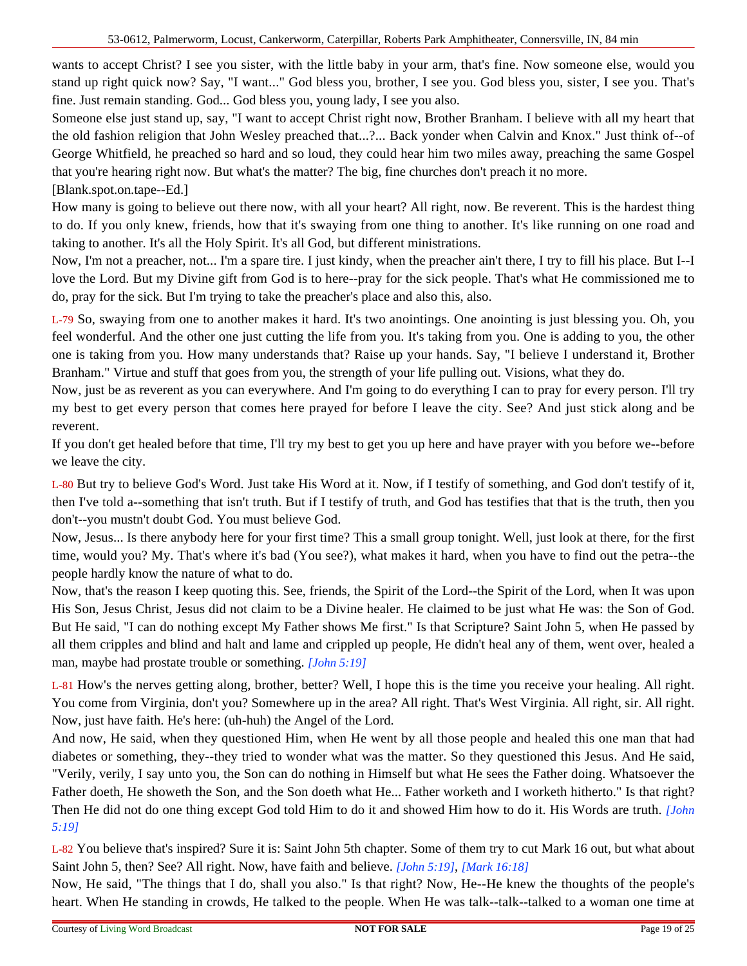wants to accept Christ? I see you sister, with the little baby in your arm, that's fine. Now someone else, would you stand up right quick now? Say, "I want..." God bless you, brother, I see you. God bless you, sister, I see you. That's fine. Just remain standing. God... God bless you, young lady, I see you also.

Someone else just stand up, say, "I want to accept Christ right now, Brother Branham. I believe with all my heart that the old fashion religion that John Wesley preached that...?... Back yonder when Calvin and Knox." Just think of--of George Whitfield, he preached so hard and so loud, they could hear him two miles away, preaching the same Gospel that you're hearing right now. But what's the matter? The big, fine churches don't preach it no more.

[Blank.spot.on.tape--Ed.]

How many is going to believe out there now, with all your heart? All right, now. Be reverent. This is the hardest thing to do. If you only knew, friends, how that it's swaying from one thing to another. It's like running on one road and taking to another. It's all the Holy Spirit. It's all God, but different ministrations.

Now, I'm not a preacher, not... I'm a spare tire. I just kindy, when the preacher ain't there, I try to fill his place. But I--I love the Lord. But my Divine gift from God is to here--pray for the sick people. That's what He commissioned me to do, pray for the sick. But I'm trying to take the preacher's place and also this, also.

L-79 So, swaying from one to another makes it hard. It's two anointings. One anointing is just blessing you. Oh, you feel wonderful. And the other one just cutting the life from you. It's taking from you. One is adding to you, the other one is taking from you. How many understands that? Raise up your hands. Say, "I believe I understand it, Brother Branham." Virtue and stuff that goes from you, the strength of your life pulling out. Visions, what they do.

Now, just be as reverent as you can everywhere. And I'm going to do everything I can to pray for every person. I'll try my best to get every person that comes here prayed for before I leave the city. See? And just stick along and be reverent.

If you don't get healed before that time, I'll try my best to get you up here and have prayer with you before we--before we leave the city.

L-80 But try to believe God's Word. Just take His Word at it. Now, if I testify of something, and God don't testify of it, then I've told a--something that isn't truth. But if I testify of truth, and God has testifies that that is the truth, then you don't--you mustn't doubt God. You must believe God.

Now, Jesus... Is there anybody here for your first time? This a small group tonight. Well, just look at there, for the first time, would you? My. That's where it's bad (You see?), what makes it hard, when you have to find out the petra--the people hardly know the nature of what to do.

Now, that's the reason I keep quoting this. See, friends, the Spirit of the Lord--the Spirit of the Lord, when It was upon His Son, Jesus Christ, Jesus did not claim to be a Divine healer. He claimed to be just what He was: the Son of God. But He said, "I can do nothing except My Father shows Me first." Is that Scripture? Saint John 5, when He passed by all them cripples and blind and halt and lame and crippled up people, He didn't heal any of them, went over, healed a man, maybe had prostate trouble or something. *[John 5:19]*

L-81 How's the nerves getting along, brother, better? Well, I hope this is the time you receive your healing. All right. You come from Virginia, don't you? Somewhere up in the area? All right. That's West Virginia. All right, sir. All right. Now, just have faith. He's here: (uh-huh) the Angel of the Lord.

And now, He said, when they questioned Him, when He went by all those people and healed this one man that had diabetes or something, they--they tried to wonder what was the matter. So they questioned this Jesus. And He said, "Verily, verily, I say unto you, the Son can do nothing in Himself but what He sees the Father doing. Whatsoever the Father doeth, He showeth the Son, and the Son doeth what He... Father worketh and I worketh hitherto." Is that right? Then He did not do one thing except God told Him to do it and showed Him how to do it. His Words are truth. *[John 5:19]*

L-82 You believe that's inspired? Sure it is: Saint John 5th chapter. Some of them try to cut Mark 16 out, but what about Saint John 5, then? See? All right. Now, have faith and believe. *[John 5:19]*, *[Mark 16:18]*

Now, He said, "The things that I do, shall you also." Is that right? Now, He--He knew the thoughts of the people's heart. When He standing in crowds, He talked to the people. When He was talk--talk--talked to a woman one time at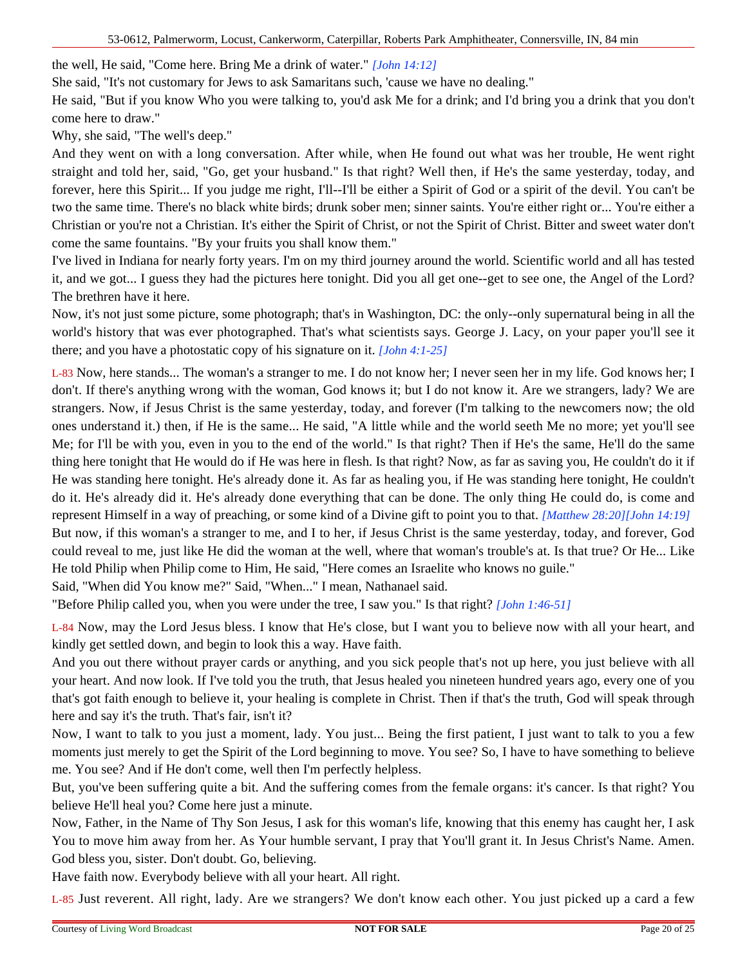the well, He said, "Come here. Bring Me a drink of water." *[John 14:12]*

She said, "It's not customary for Jews to ask Samaritans such, 'cause we have no dealing."

He said, "But if you know Who you were talking to, you'd ask Me for a drink; and I'd bring you a drink that you don't come here to draw."

Why, she said, "The well's deep."

And they went on with a long conversation. After while, when He found out what was her trouble, He went right straight and told her, said, "Go, get your husband." Is that right? Well then, if He's the same yesterday, today, and forever, here this Spirit... If you judge me right, I'll--I'll be either a Spirit of God or a spirit of the devil. You can't be two the same time. There's no black white birds; drunk sober men; sinner saints. You're either right or... You're either a Christian or you're not a Christian. It's either the Spirit of Christ, or not the Spirit of Christ. Bitter and sweet water don't come the same fountains. "By your fruits you shall know them."

I've lived in Indiana for nearly forty years. I'm on my third journey around the world. Scientific world and all has tested it, and we got... I guess they had the pictures here tonight. Did you all get one--get to see one, the Angel of the Lord? The brethren have it here.

Now, it's not just some picture, some photograph; that's in Washington, DC: the only--only supernatural being in all the world's history that was ever photographed. That's what scientists says. George J. Lacy, on your paper you'll see it there; and you have a photostatic copy of his signature on it. *[John 4:1-25]*

L-83 Now, here stands... The woman's a stranger to me. I do not know her; I never seen her in my life. God knows her; I don't. If there's anything wrong with the woman, God knows it; but I do not know it. Are we strangers, lady? We are strangers. Now, if Jesus Christ is the same yesterday, today, and forever (I'm talking to the newcomers now; the old ones understand it.) then, if He is the same... He said, "A little while and the world seeth Me no more; yet you'll see Me; for I'll be with you, even in you to the end of the world." Is that right? Then if He's the same, He'll do the same thing here tonight that He would do if He was here in flesh. Is that right? Now, as far as saving you, He couldn't do it if He was standing here tonight. He's already done it. As far as healing you, if He was standing here tonight, He couldn't do it. He's already did it. He's already done everything that can be done. The only thing He could do, is come and represent Himself in a way of preaching, or some kind of a Divine gift to point you to that. *[Matthew 28:20][John 14:19]* But now, if this woman's a stranger to me, and I to her, if Jesus Christ is the same yesterday, today, and forever, God could reveal to me, just like He did the woman at the well, where that woman's trouble's at. Is that true? Or He... Like He told Philip when Philip come to Him, He said, "Here comes an Israelite who knows no guile."

Said, "When did You know me?" Said, "When..." I mean, Nathanael said.

"Before Philip called you, when you were under the tree, I saw you." Is that right? *[John 1:46-51]*

L-84 Now, may the Lord Jesus bless. I know that He's close, but I want you to believe now with all your heart, and kindly get settled down, and begin to look this a way. Have faith.

And you out there without prayer cards or anything, and you sick people that's not up here, you just believe with all your heart. And now look. If I've told you the truth, that Jesus healed you nineteen hundred years ago, every one of you that's got faith enough to believe it, your healing is complete in Christ. Then if that's the truth, God will speak through here and say it's the truth. That's fair, isn't it?

Now, I want to talk to you just a moment, lady. You just... Being the first patient, I just want to talk to you a few moments just merely to get the Spirit of the Lord beginning to move. You see? So, I have to have something to believe me. You see? And if He don't come, well then I'm perfectly helpless.

But, you've been suffering quite a bit. And the suffering comes from the female organs: it's cancer. Is that right? You believe He'll heal you? Come here just a minute.

Now, Father, in the Name of Thy Son Jesus, I ask for this woman's life, knowing that this enemy has caught her, I ask You to move him away from her. As Your humble servant, I pray that You'll grant it. In Jesus Christ's Name. Amen. God bless you, sister. Don't doubt. Go, believing.

Have faith now. Everybody believe with all your heart. All right.

L-85 Just reverent. All right, lady. Are we strangers? We don't know each other. You just picked up a card a few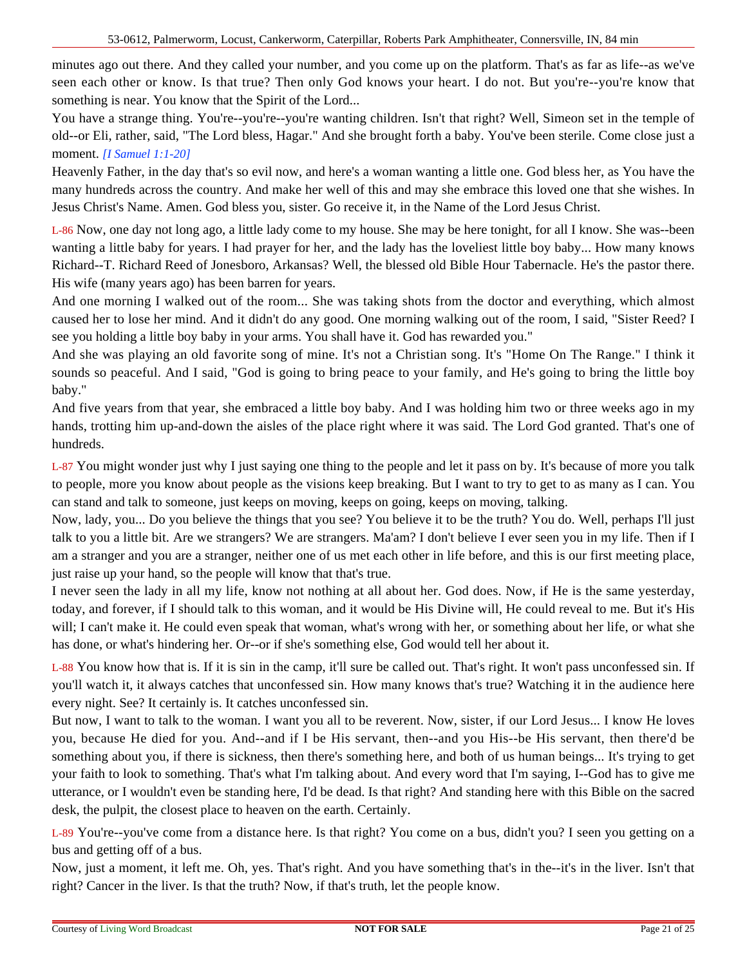minutes ago out there. And they called your number, and you come up on the platform. That's as far as life--as we've seen each other or know. Is that true? Then only God knows your heart. I do not. But you're--you're know that something is near. You know that the Spirit of the Lord...

You have a strange thing. You're--you're--you're wanting children. Isn't that right? Well, Simeon set in the temple of old--or Eli, rather, said, "The Lord bless, Hagar." And she brought forth a baby. You've been sterile. Come close just a moment. *[I Samuel 1:1-20]*

Heavenly Father, in the day that's so evil now, and here's a woman wanting a little one. God bless her, as You have the many hundreds across the country. And make her well of this and may she embrace this loved one that she wishes. In Jesus Christ's Name. Amen. God bless you, sister. Go receive it, in the Name of the Lord Jesus Christ.

L-86 Now, one day not long ago, a little lady come to my house. She may be here tonight, for all I know. She was--been wanting a little baby for years. I had prayer for her, and the lady has the loveliest little boy baby... How many knows Richard--T. Richard Reed of Jonesboro, Arkansas? Well, the blessed old Bible Hour Tabernacle. He's the pastor there. His wife (many years ago) has been barren for years.

And one morning I walked out of the room... She was taking shots from the doctor and everything, which almost caused her to lose her mind. And it didn't do any good. One morning walking out of the room, I said, "Sister Reed? I see you holding a little boy baby in your arms. You shall have it. God has rewarded you."

And she was playing an old favorite song of mine. It's not a Christian song. It's "Home On The Range." I think it sounds so peaceful. And I said, "God is going to bring peace to your family, and He's going to bring the little boy baby."

And five years from that year, she embraced a little boy baby. And I was holding him two or three weeks ago in my hands, trotting him up-and-down the aisles of the place right where it was said. The Lord God granted. That's one of hundreds.

L-87 You might wonder just why I just saying one thing to the people and let it pass on by. It's because of more you talk to people, more you know about people as the visions keep breaking. But I want to try to get to as many as I can. You can stand and talk to someone, just keeps on moving, keeps on going, keeps on moving, talking.

Now, lady, you... Do you believe the things that you see? You believe it to be the truth? You do. Well, perhaps I'll just talk to you a little bit. Are we strangers? We are strangers. Ma'am? I don't believe I ever seen you in my life. Then if I am a stranger and you are a stranger, neither one of us met each other in life before, and this is our first meeting place, just raise up your hand, so the people will know that that's true.

I never seen the lady in all my life, know not nothing at all about her. God does. Now, if He is the same yesterday, today, and forever, if I should talk to this woman, and it would be His Divine will, He could reveal to me. But it's His will; I can't make it. He could even speak that woman, what's wrong with her, or something about her life, or what she has done, or what's hindering her. Or--or if she's something else, God would tell her about it.

L-88 You know how that is. If it is sin in the camp, it'll sure be called out. That's right. It won't pass unconfessed sin. If you'll watch it, it always catches that unconfessed sin. How many knows that's true? Watching it in the audience here every night. See? It certainly is. It catches unconfessed sin.

But now, I want to talk to the woman. I want you all to be reverent. Now, sister, if our Lord Jesus... I know He loves you, because He died for you. And--and if I be His servant, then--and you His--be His servant, then there'd be something about you, if there is sickness, then there's something here, and both of us human beings... It's trying to get your faith to look to something. That's what I'm talking about. And every word that I'm saying, I--God has to give me utterance, or I wouldn't even be standing here, I'd be dead. Is that right? And standing here with this Bible on the sacred desk, the pulpit, the closest place to heaven on the earth. Certainly.

L-89 You're--you've come from a distance here. Is that right? You come on a bus, didn't you? I seen you getting on a bus and getting off of a bus.

Now, just a moment, it left me. Oh, yes. That's right. And you have something that's in the--it's in the liver. Isn't that right? Cancer in the liver. Is that the truth? Now, if that's truth, let the people know.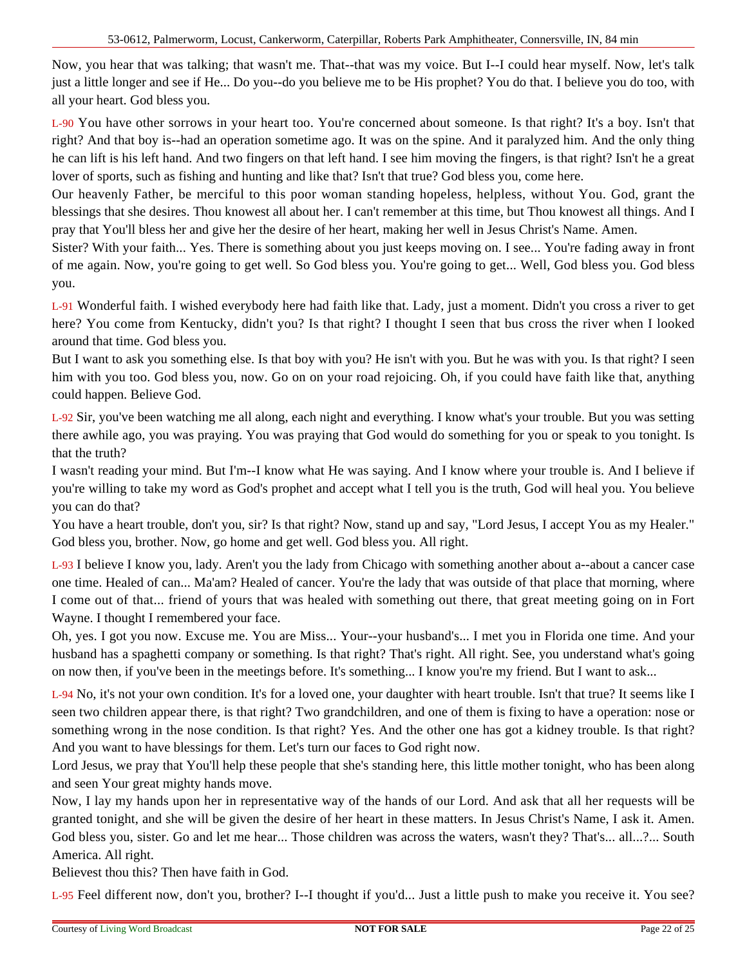Now, you hear that was talking; that wasn't me. That--that was my voice. But I--I could hear myself. Now, let's talk just a little longer and see if He... Do you--do you believe me to be His prophet? You do that. I believe you do too, with all your heart. God bless you.

L-90 You have other sorrows in your heart too. You're concerned about someone. Is that right? It's a boy. Isn't that right? And that boy is--had an operation sometime ago. It was on the spine. And it paralyzed him. And the only thing he can lift is his left hand. And two fingers on that left hand. I see him moving the fingers, is that right? Isn't he a great lover of sports, such as fishing and hunting and like that? Isn't that true? God bless you, come here.

Our heavenly Father, be merciful to this poor woman standing hopeless, helpless, without You. God, grant the blessings that she desires. Thou knowest all about her. I can't remember at this time, but Thou knowest all things. And I pray that You'll bless her and give her the desire of her heart, making her well in Jesus Christ's Name. Amen.

Sister? With your faith... Yes. There is something about you just keeps moving on. I see... You're fading away in front of me again. Now, you're going to get well. So God bless you. You're going to get... Well, God bless you. God bless you.

L-91 Wonderful faith. I wished everybody here had faith like that. Lady, just a moment. Didn't you cross a river to get here? You come from Kentucky, didn't you? Is that right? I thought I seen that bus cross the river when I looked around that time. God bless you.

But I want to ask you something else. Is that boy with you? He isn't with you. But he was with you. Is that right? I seen him with you too. God bless you, now. Go on on your road rejoicing. Oh, if you could have faith like that, anything could happen. Believe God.

L-92 Sir, you've been watching me all along, each night and everything. I know what's your trouble. But you was setting there awhile ago, you was praying. You was praying that God would do something for you or speak to you tonight. Is that the truth?

I wasn't reading your mind. But I'm--I know what He was saying. And I know where your trouble is. And I believe if you're willing to take my word as God's prophet and accept what I tell you is the truth, God will heal you. You believe you can do that?

You have a heart trouble, don't you, sir? Is that right? Now, stand up and say, "Lord Jesus, I accept You as my Healer." God bless you, brother. Now, go home and get well. God bless you. All right.

L-93 I believe I know you, lady. Aren't you the lady from Chicago with something another about a--about a cancer case one time. Healed of can... Ma'am? Healed of cancer. You're the lady that was outside of that place that morning, where I come out of that... friend of yours that was healed with something out there, that great meeting going on in Fort Wayne. I thought I remembered your face.

Oh, yes. I got you now. Excuse me. You are Miss... Your--your husband's... I met you in Florida one time. And your husband has a spaghetti company or something. Is that right? That's right. All right. See, you understand what's going on now then, if you've been in the meetings before. It's something... I know you're my friend. But I want to ask...

L-94 No, it's not your own condition. It's for a loved one, your daughter with heart trouble. Isn't that true? It seems like I seen two children appear there, is that right? Two grandchildren, and one of them is fixing to have a operation: nose or something wrong in the nose condition. Is that right? Yes. And the other one has got a kidney trouble. Is that right? And you want to have blessings for them. Let's turn our faces to God right now.

Lord Jesus, we pray that You'll help these people that she's standing here, this little mother tonight, who has been along and seen Your great mighty hands move.

Now, I lay my hands upon her in representative way of the hands of our Lord. And ask that all her requests will be granted tonight, and she will be given the desire of her heart in these matters. In Jesus Christ's Name, I ask it. Amen. God bless you, sister. Go and let me hear... Those children was across the waters, wasn't they? That's... all...?... South America. All right.

Believest thou this? Then have faith in God.

L-95 Feel different now, don't you, brother? I--I thought if you'd... Just a little push to make you receive it. You see?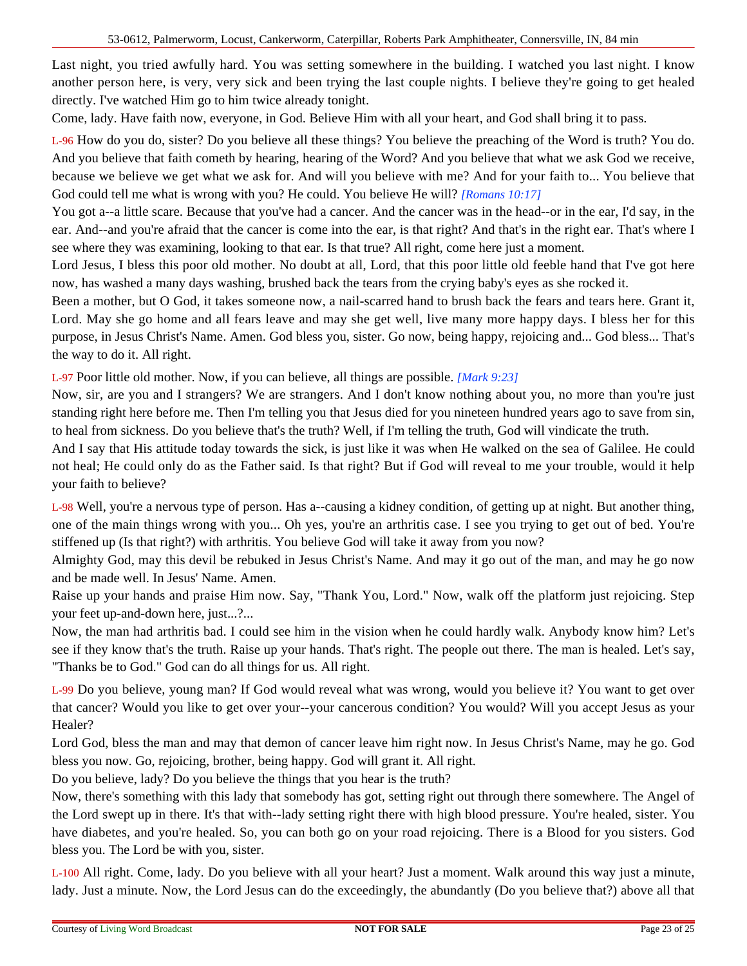Last night, you tried awfully hard. You was setting somewhere in the building. I watched you last night. I know another person here, is very, very sick and been trying the last couple nights. I believe they're going to get healed directly. I've watched Him go to him twice already tonight.

Come, lady. Have faith now, everyone, in God. Believe Him with all your heart, and God shall bring it to pass.

L-96 How do you do, sister? Do you believe all these things? You believe the preaching of the Word is truth? You do. And you believe that faith cometh by hearing, hearing of the Word? And you believe that what we ask God we receive, because we believe we get what we ask for. And will you believe with me? And for your faith to... You believe that God could tell me what is wrong with you? He could. You believe He will? *[Romans 10:17]*

You got a--a little scare. Because that you've had a cancer. And the cancer was in the head--or in the ear, I'd say, in the ear. And--and you're afraid that the cancer is come into the ear, is that right? And that's in the right ear. That's where I see where they was examining, looking to that ear. Is that true? All right, come here just a moment.

Lord Jesus, I bless this poor old mother. No doubt at all, Lord, that this poor little old feeble hand that I've got here now, has washed a many days washing, brushed back the tears from the crying baby's eyes as she rocked it.

Been a mother, but O God, it takes someone now, a nail-scarred hand to brush back the fears and tears here. Grant it, Lord. May she go home and all fears leave and may she get well, live many more happy days. I bless her for this purpose, in Jesus Christ's Name. Amen. God bless you, sister. Go now, being happy, rejoicing and... God bless... That's the way to do it. All right.

L-97 Poor little old mother. Now, if you can believe, all things are possible. *[Mark 9:23]*

Now, sir, are you and I strangers? We are strangers. And I don't know nothing about you, no more than you're just standing right here before me. Then I'm telling you that Jesus died for you nineteen hundred years ago to save from sin, to heal from sickness. Do you believe that's the truth? Well, if I'm telling the truth, God will vindicate the truth.

And I say that His attitude today towards the sick, is just like it was when He walked on the sea of Galilee. He could not heal; He could only do as the Father said. Is that right? But if God will reveal to me your trouble, would it help your faith to believe?

L-98 Well, you're a nervous type of person. Has a--causing a kidney condition, of getting up at night. But another thing, one of the main things wrong with you... Oh yes, you're an arthritis case. I see you trying to get out of bed. You're stiffened up (Is that right?) with arthritis. You believe God will take it away from you now?

Almighty God, may this devil be rebuked in Jesus Christ's Name. And may it go out of the man, and may he go now and be made well. In Jesus' Name. Amen.

Raise up your hands and praise Him now. Say, "Thank You, Lord." Now, walk off the platform just rejoicing. Step your feet up-and-down here, just...?...

Now, the man had arthritis bad. I could see him in the vision when he could hardly walk. Anybody know him? Let's see if they know that's the truth. Raise up your hands. That's right. The people out there. The man is healed. Let's say, "Thanks be to God." God can do all things for us. All right.

L-99 Do you believe, young man? If God would reveal what was wrong, would you believe it? You want to get over that cancer? Would you like to get over your--your cancerous condition? You would? Will you accept Jesus as your Healer?

Lord God, bless the man and may that demon of cancer leave him right now. In Jesus Christ's Name, may he go. God bless you now. Go, rejoicing, brother, being happy. God will grant it. All right.

Do you believe, lady? Do you believe the things that you hear is the truth?

Now, there's something with this lady that somebody has got, setting right out through there somewhere. The Angel of the Lord swept up in there. It's that with--lady setting right there with high blood pressure. You're healed, sister. You have diabetes, and you're healed. So, you can both go on your road rejoicing. There is a Blood for you sisters. God bless you. The Lord be with you, sister.

L-100 All right. Come, lady. Do you believe with all your heart? Just a moment. Walk around this way just a minute, lady. Just a minute. Now, the Lord Jesus can do the exceedingly, the abundantly (Do you believe that?) above all that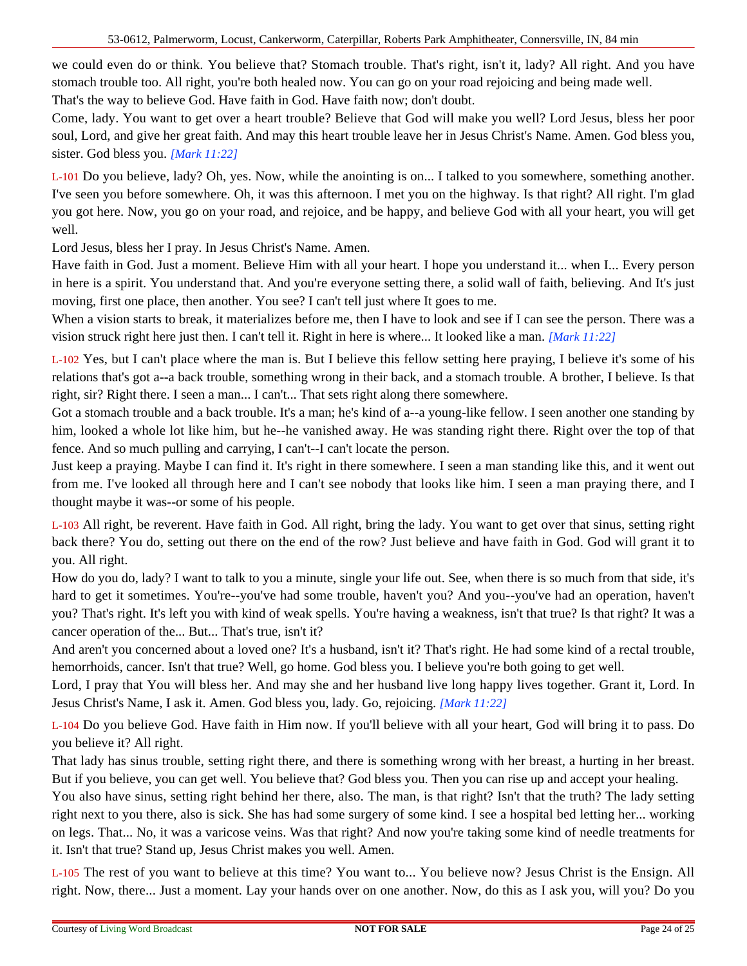we could even do or think. You believe that? Stomach trouble. That's right, isn't it, lady? All right. And you have stomach trouble too. All right, you're both healed now. You can go on your road rejoicing and being made well. That's the way to believe God. Have faith in God. Have faith now; don't doubt.

Come, lady. You want to get over a heart trouble? Believe that God will make you well? Lord Jesus, bless her poor soul, Lord, and give her great faith. And may this heart trouble leave her in Jesus Christ's Name. Amen. God bless you, sister. God bless you. *[Mark 11:22]*

L-101 Do you believe, lady? Oh, yes. Now, while the anointing is on... I talked to you somewhere, something another. I've seen you before somewhere. Oh, it was this afternoon. I met you on the highway. Is that right? All right. I'm glad you got here. Now, you go on your road, and rejoice, and be happy, and believe God with all your heart, you will get well.

Lord Jesus, bless her I pray. In Jesus Christ's Name. Amen.

Have faith in God. Just a moment. Believe Him with all your heart. I hope you understand it... when I... Every person in here is a spirit. You understand that. And you're everyone setting there, a solid wall of faith, believing. And It's just moving, first one place, then another. You see? I can't tell just where It goes to me.

When a vision starts to break, it materializes before me, then I have to look and see if I can see the person. There was a vision struck right here just then. I can't tell it. Right in here is where... It looked like a man. *[Mark 11:22]*

L-102 Yes, but I can't place where the man is. But I believe this fellow setting here praying, I believe it's some of his relations that's got a--a back trouble, something wrong in their back, and a stomach trouble. A brother, I believe. Is that right, sir? Right there. I seen a man... I can't... That sets right along there somewhere.

Got a stomach trouble and a back trouble. It's a man; he's kind of a--a young-like fellow. I seen another one standing by him, looked a whole lot like him, but he--he vanished away. He was standing right there. Right over the top of that fence. And so much pulling and carrying, I can't--I can't locate the person.

Just keep a praying. Maybe I can find it. It's right in there somewhere. I seen a man standing like this, and it went out from me. I've looked all through here and I can't see nobody that looks like him. I seen a man praying there, and I thought maybe it was--or some of his people.

L-103 All right, be reverent. Have faith in God. All right, bring the lady. You want to get over that sinus, setting right back there? You do, setting out there on the end of the row? Just believe and have faith in God. God will grant it to you. All right.

How do you do, lady? I want to talk to you a minute, single your life out. See, when there is so much from that side, it's hard to get it sometimes. You're--you've had some trouble, haven't you? And you--you've had an operation, haven't you? That's right. It's left you with kind of weak spells. You're having a weakness, isn't that true? Is that right? It was a cancer operation of the... But... That's true, isn't it?

And aren't you concerned about a loved one? It's a husband, isn't it? That's right. He had some kind of a rectal trouble, hemorrhoids, cancer. Isn't that true? Well, go home. God bless you. I believe you're both going to get well.

Lord, I pray that You will bless her. And may she and her husband live long happy lives together. Grant it, Lord. In Jesus Christ's Name, I ask it. Amen. God bless you, lady. Go, rejoicing. *[Mark 11:22]*

L-104 Do you believe God. Have faith in Him now. If you'll believe with all your heart, God will bring it to pass. Do you believe it? All right.

That lady has sinus trouble, setting right there, and there is something wrong with her breast, a hurting in her breast. But if you believe, you can get well. You believe that? God bless you. Then you can rise up and accept your healing.

You also have sinus, setting right behind her there, also. The man, is that right? Isn't that the truth? The lady setting right next to you there, also is sick. She has had some surgery of some kind. I see a hospital bed letting her... working on legs. That... No, it was a varicose veins. Was that right? And now you're taking some kind of needle treatments for it. Isn't that true? Stand up, Jesus Christ makes you well. Amen.

L-105 The rest of you want to believe at this time? You want to... You believe now? Jesus Christ is the Ensign. All right. Now, there... Just a moment. Lay your hands over on one another. Now, do this as I ask you, will you? Do you